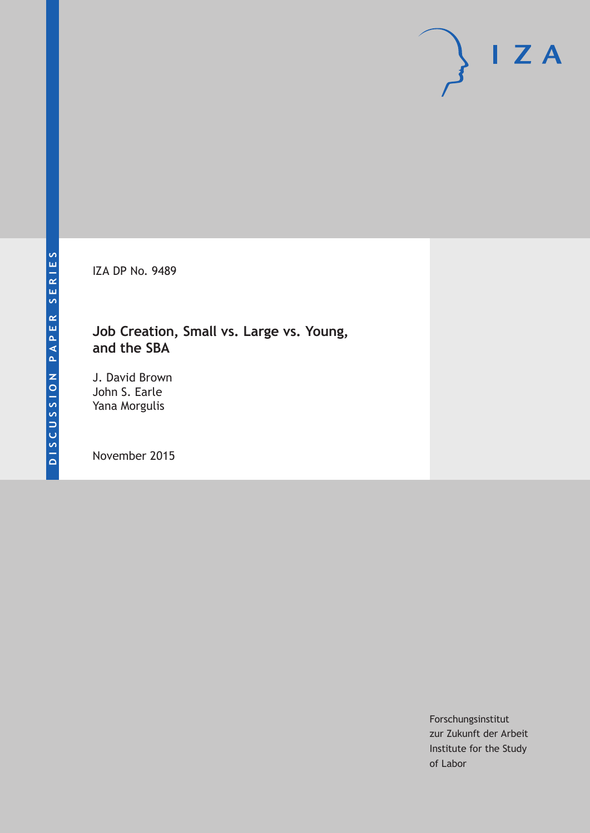IZA DP No. 9489

### **Job Creation, Small vs. Large vs. Young, and the SBA**

J. David Brown John S. Earle Yana Morgulis

November 2015

Forschungsinstitut zur Zukunft der Arbeit Institute for the Study of Labor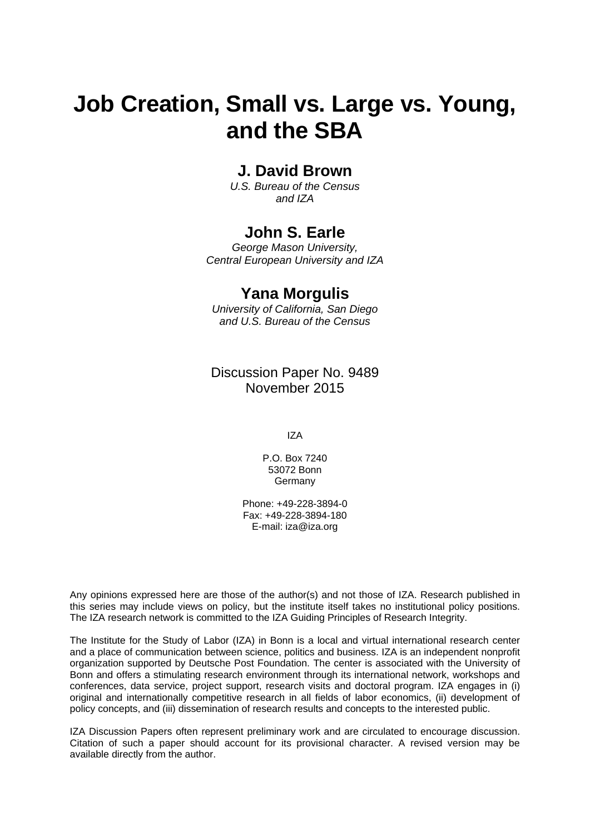# **Job Creation, Small vs. Large vs. Young, and the SBA**

### **J. David Brown**

*U.S. Bureau of the Census and IZA* 

### **John S. Earle**

*George Mason University, Central European University and IZA* 

### **Yana Morgulis**

*University of California, San Diego and U.S. Bureau of the Census*

Discussion Paper No. 9489 November 2015

IZA

P.O. Box 7240 53072 Bonn **Germany** 

Phone: +49-228-3894-0 Fax: +49-228-3894-180 E-mail: iza@iza.org

Any opinions expressed here are those of the author(s) and not those of IZA. Research published in this series may include views on policy, but the institute itself takes no institutional policy positions. The IZA research network is committed to the IZA Guiding Principles of Research Integrity.

The Institute for the Study of Labor (IZA) in Bonn is a local and virtual international research center and a place of communication between science, politics and business. IZA is an independent nonprofit organization supported by Deutsche Post Foundation. The center is associated with the University of Bonn and offers a stimulating research environment through its international network, workshops and conferences, data service, project support, research visits and doctoral program. IZA engages in (i) original and internationally competitive research in all fields of labor economics, (ii) development of policy concepts, and (iii) dissemination of research results and concepts to the interested public.

IZA Discussion Papers often represent preliminary work and are circulated to encourage discussion. Citation of such a paper should account for its provisional character. A revised version may be available directly from the author.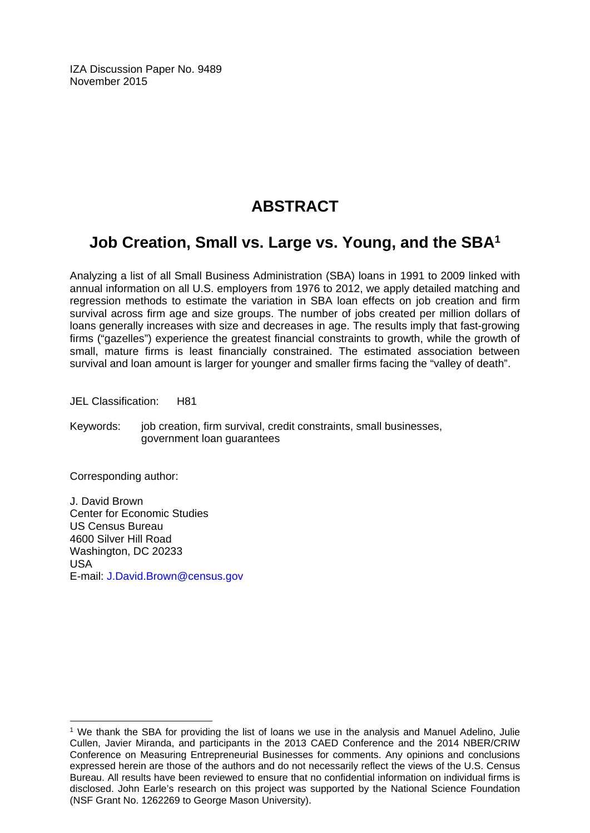IZA Discussion Paper No. 9489 November 2015

# **ABSTRACT**

## **Job Creation, Small vs. Large vs. Young, and the SBA1**

Analyzing a list of all Small Business Administration (SBA) loans in 1991 to 2009 linked with annual information on all U.S. employers from 1976 to 2012, we apply detailed matching and regression methods to estimate the variation in SBA loan effects on job creation and firm survival across firm age and size groups. The number of jobs created per million dollars of loans generally increases with size and decreases in age. The results imply that fast-growing firms ("gazelles") experience the greatest financial constraints to growth, while the growth of small, mature firms is least financially constrained. The estimated association between survival and loan amount is larger for younger and smaller firms facing the "valley of death".

JEL Classification: H81

Keywords: job creation, firm survival, credit constraints, small businesses, government loan guarantees

Corresponding author:

 $\overline{a}$ 

J. David Brown Center for Economic Studies US Census Bureau 4600 Silver Hill Road Washington, DC 20233 USA E-mail: J.David.Brown@census.gov

<sup>1</sup> We thank the SBA for providing the list of loans we use in the analysis and Manuel Adelino, Julie Cullen, Javier Miranda, and participants in the 2013 CAED Conference and the 2014 NBER/CRIW Conference on Measuring Entrepreneurial Businesses for comments. Any opinions and conclusions expressed herein are those of the authors and do not necessarily reflect the views of the U.S. Census Bureau. All results have been reviewed to ensure that no confidential information on individual firms is disclosed. John Earle's research on this project was supported by the National Science Foundation (NSF Grant No. 1262269 to George Mason University).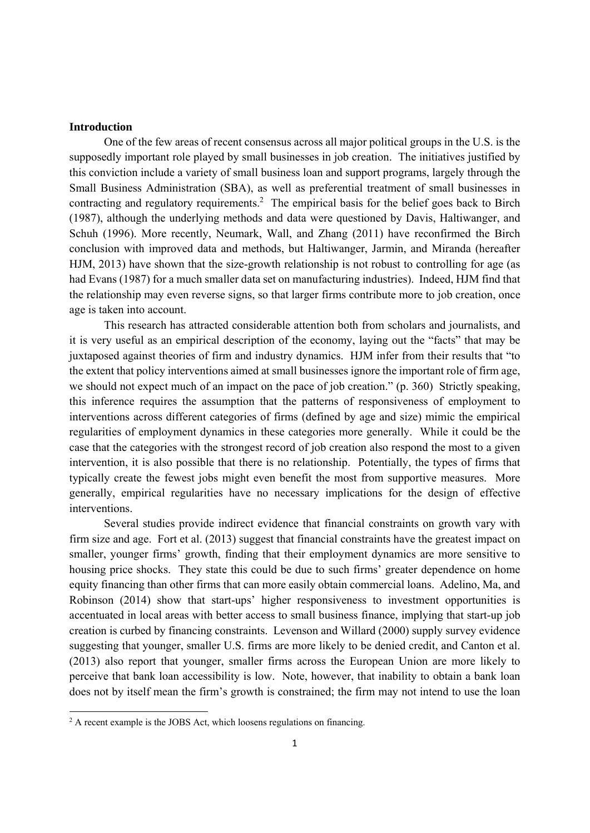#### **Introduction**

One of the few areas of recent consensus across all major political groups in the U.S. is the supposedly important role played by small businesses in job creation. The initiatives justified by this conviction include a variety of small business loan and support programs, largely through the Small Business Administration (SBA), as well as preferential treatment of small businesses in contracting and regulatory requirements.<sup>2</sup> The empirical basis for the belief goes back to Birch (1987), although the underlying methods and data were questioned by Davis, Haltiwanger, and Schuh (1996). More recently, Neumark, Wall, and Zhang (2011) have reconfirmed the Birch conclusion with improved data and methods, but Haltiwanger, Jarmin, and Miranda (hereafter HJM, 2013) have shown that the size-growth relationship is not robust to controlling for age (as had Evans (1987) for a much smaller data set on manufacturing industries). Indeed, HJM find that the relationship may even reverse signs, so that larger firms contribute more to job creation, once age is taken into account.

This research has attracted considerable attention both from scholars and journalists, and it is very useful as an empirical description of the economy, laying out the "facts" that may be juxtaposed against theories of firm and industry dynamics. HJM infer from their results that "to the extent that policy interventions aimed at small businesses ignore the important role of firm age, we should not expect much of an impact on the pace of job creation." (p. 360) Strictly speaking, this inference requires the assumption that the patterns of responsiveness of employment to interventions across different categories of firms (defined by age and size) mimic the empirical regularities of employment dynamics in these categories more generally. While it could be the case that the categories with the strongest record of job creation also respond the most to a given intervention, it is also possible that there is no relationship. Potentially, the types of firms that typically create the fewest jobs might even benefit the most from supportive measures. More generally, empirical regularities have no necessary implications for the design of effective interventions.

Several studies provide indirect evidence that financial constraints on growth vary with firm size and age. Fort et al. (2013) suggest that financial constraints have the greatest impact on smaller, younger firms' growth, finding that their employment dynamics are more sensitive to housing price shocks. They state this could be due to such firms' greater dependence on home equity financing than other firms that can more easily obtain commercial loans. Adelino, Ma, and Robinson (2014) show that start-ups' higher responsiveness to investment opportunities is accentuated in local areas with better access to small business finance, implying that start-up job creation is curbed by financing constraints. Levenson and Willard (2000) supply survey evidence suggesting that younger, smaller U.S. firms are more likely to be denied credit, and Canton et al. (2013) also report that younger, smaller firms across the European Union are more likely to perceive that bank loan accessibility is low. Note, however, that inability to obtain a bank loan does not by itself mean the firm's growth is constrained; the firm may not intend to use the loan

<sup>&</sup>lt;sup>2</sup> A recent example is the JOBS Act, which loosens regulations on financing.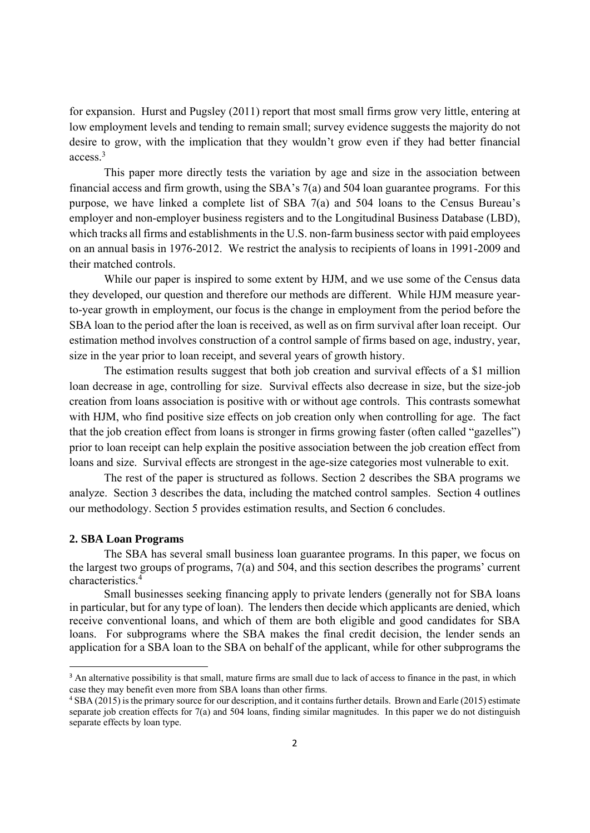for expansion. Hurst and Pugsley (2011) report that most small firms grow very little, entering at low employment levels and tending to remain small; survey evidence suggests the majority do not desire to grow, with the implication that they wouldn't grow even if they had better financial access.3

This paper more directly tests the variation by age and size in the association between financial access and firm growth, using the SBA's 7(a) and 504 loan guarantee programs. For this purpose, we have linked a complete list of SBA 7(a) and 504 loans to the Census Bureau's employer and non-employer business registers and to the Longitudinal Business Database (LBD), which tracks all firms and establishments in the U.S. non-farm business sector with paid employees on an annual basis in 1976-2012. We restrict the analysis to recipients of loans in 1991-2009 and their matched controls.

While our paper is inspired to some extent by HJM, and we use some of the Census data they developed, our question and therefore our methods are different. While HJM measure yearto-year growth in employment, our focus is the change in employment from the period before the SBA loan to the period after the loan is received, as well as on firm survival after loan receipt. Our estimation method involves construction of a control sample of firms based on age, industry, year, size in the year prior to loan receipt, and several years of growth history.

The estimation results suggest that both job creation and survival effects of a \$1 million loan decrease in age, controlling for size. Survival effects also decrease in size, but the size-job creation from loans association is positive with or without age controls. This contrasts somewhat with HJM, who find positive size effects on job creation only when controlling for age. The fact that the job creation effect from loans is stronger in firms growing faster (often called "gazelles") prior to loan receipt can help explain the positive association between the job creation effect from loans and size. Survival effects are strongest in the age-size categories most vulnerable to exit.

The rest of the paper is structured as follows. Section 2 describes the SBA programs we analyze. Section 3 describes the data, including the matched control samples. Section 4 outlines our methodology. Section 5 provides estimation results, and Section 6 concludes.

#### **2. SBA Loan Programs**

 The SBA has several small business loan guarantee programs. In this paper, we focus on the largest two groups of programs, 7(a) and 504, and this section describes the programs' current characteristics.4

 Small businesses seeking financing apply to private lenders (generally not for SBA loans in particular, but for any type of loan). The lenders then decide which applicants are denied, which receive conventional loans, and which of them are both eligible and good candidates for SBA loans. For subprograms where the SBA makes the final credit decision, the lender sends an application for a SBA loan to the SBA on behalf of the applicant, while for other subprograms the

<sup>&</sup>lt;sup>3</sup> An alternative possibility is that small, mature firms are small due to lack of access to finance in the past, in which case they may benefit even more from SBA loans than other firms.

<sup>4</sup> SBA (2015) is the primary source for our description, and it contains further details. Brown and Earle (2015) estimate separate job creation effects for 7(a) and 504 loans, finding similar magnitudes. In this paper we do not distinguish separate effects by loan type.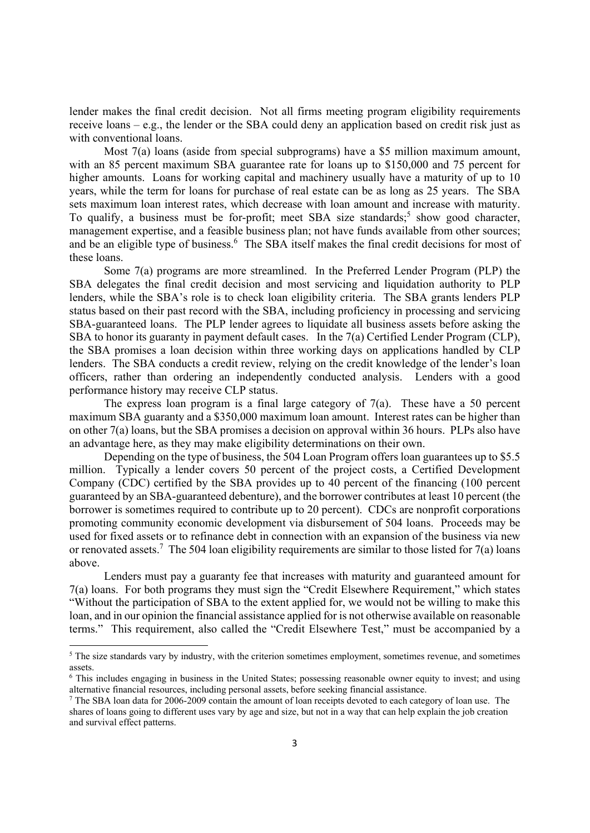lender makes the final credit decision. Not all firms meeting program eligibility requirements receive loans – e.g., the lender or the SBA could deny an application based on credit risk just as with conventional loans.

Most 7(a) loans (aside from special subprograms) have a \$5 million maximum amount, with an 85 percent maximum SBA guarantee rate for loans up to \$150,000 and 75 percent for higher amounts. Loans for working capital and machinery usually have a maturity of up to 10 years, while the term for loans for purchase of real estate can be as long as 25 years. The SBA sets maximum loan interest rates, which decrease with loan amount and increase with maturity. To qualify, a business must be for-profit; meet SBA size standards;<sup>5</sup> show good character, management expertise, and a feasible business plan; not have funds available from other sources; and be an eligible type of business.<sup>6</sup> The SBA itself makes the final credit decisions for most of these loans.

Some 7(a) programs are more streamlined. In the Preferred Lender Program (PLP) the SBA delegates the final credit decision and most servicing and liquidation authority to PLP lenders, while the SBA's role is to check loan eligibility criteria. The SBA grants lenders PLP status based on their past record with the SBA, including proficiency in processing and servicing SBA-guaranteed loans. The PLP lender agrees to liquidate all business assets before asking the SBA to honor its guaranty in payment default cases. In the 7(a) Certified Lender Program (CLP), the SBA promises a loan decision within three working days on applications handled by CLP lenders. The SBA conducts a credit review, relying on the credit knowledge of the lender's loan officers, rather than ordering an independently conducted analysis. Lenders with a good performance history may receive CLP status.

The express loan program is a final large category of  $7(a)$ . These have a 50 percent maximum SBA guaranty and a \$350,000 maximum loan amount. Interest rates can be higher than on other 7(a) loans, but the SBA promises a decision on approval within 36 hours. PLPs also have an advantage here, as they may make eligibility determinations on their own.

Depending on the type of business, the 504 Loan Program offers loan guarantees up to \$5.5 million. Typically a lender covers 50 percent of the project costs, a Certified Development Company (CDC) certified by the SBA provides up to 40 percent of the financing (100 percent guaranteed by an SBA-guaranteed debenture), and the borrower contributes at least 10 percent (the borrower is sometimes required to contribute up to 20 percent). CDCs are nonprofit corporations promoting community economic development via disbursement of 504 loans. Proceeds may be used for fixed assets or to refinance debt in connection with an expansion of the business via new or renovated assets.<sup>7</sup> The 504 loan eligibility requirements are similar to those listed for  $7(a)$  loans above.

Lenders must pay a guaranty fee that increases with maturity and guaranteed amount for 7(a) loans. For both programs they must sign the "Credit Elsewhere Requirement," which states "Without the participation of SBA to the extent applied for, we would not be willing to make this loan, and in our opinion the financial assistance applied for is not otherwise available on reasonable terms." This requirement, also called the "Credit Elsewhere Test," must be accompanied by a

<sup>&</sup>lt;sup>5</sup> The size standards vary by industry, with the criterion sometimes employment, sometimes revenue, and sometimes assets.

<sup>6</sup> This includes engaging in business in the United States; possessing reasonable owner equity to invest; and using alternative financial resources, including personal assets, before seeking financial assistance.

<sup>&</sup>lt;sup>7</sup> The SBA loan data for 2006-2009 contain the amount of loan receipts devoted to each category of loan use. The shares of loans going to different uses vary by age and size, but not in a way that can help explain the job creation and survival effect patterns.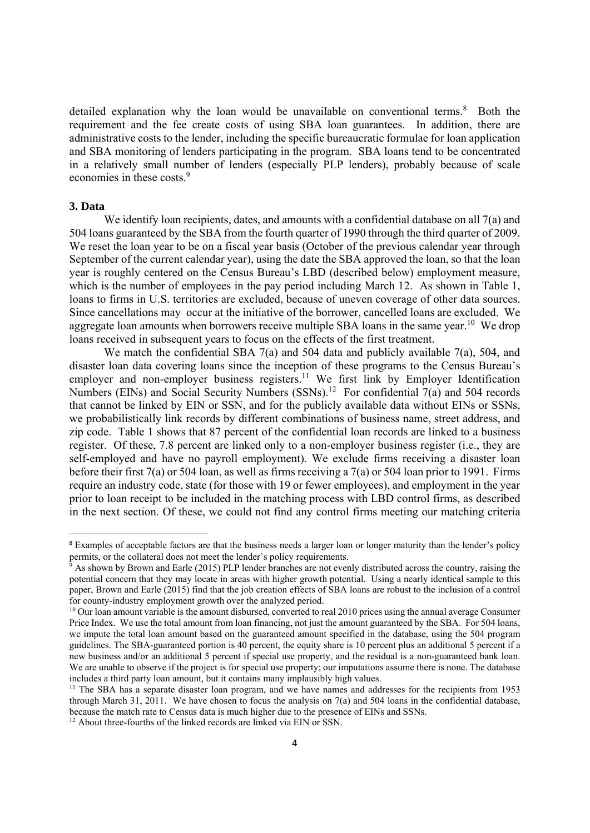detailed explanation why the loan would be unavailable on conventional terms. $8$  Both the requirement and the fee create costs of using SBA loan guarantees. In addition, there are administrative costs to the lender, including the specific bureaucratic formulae for loan application and SBA monitoring of lenders participating in the program. SBA loans tend to be concentrated in a relatively small number of lenders (especially PLP lenders), probably because of scale economies in these costs.<sup>9</sup>

#### **3. Data**

We identify loan recipients, dates, and amounts with a confidential database on all 7(a) and 504 loans guaranteed by the SBA from the fourth quarter of 1990 through the third quarter of 2009. We reset the loan year to be on a fiscal year basis (October of the previous calendar year through September of the current calendar year), using the date the SBA approved the loan, so that the loan year is roughly centered on the Census Bureau's LBD (described below) employment measure, which is the number of employees in the pay period including March 12. As shown in Table 1, loans to firms in U.S. territories are excluded, because of uneven coverage of other data sources. Since cancellations may occur at the initiative of the borrower, cancelled loans are excluded. We aggregate loan amounts when borrowers receive multiple SBA loans in the same year.<sup>10</sup> We drop loans received in subsequent years to focus on the effects of the first treatment.

We match the confidential SBA 7(a) and 504 data and publicly available 7(a), 504, and disaster loan data covering loans since the inception of these programs to the Census Bureau's employer and non-employer business registers.<sup>11</sup> We first link by Employer Identification Numbers (EINs) and Social Security Numbers (SSNs).<sup>12</sup> For confidential  $7(a)$  and 504 records that cannot be linked by EIN or SSN, and for the publicly available data without EINs or SSNs, we probabilistically link records by different combinations of business name, street address, and zip code. Table 1 shows that 87 percent of the confidential loan records are linked to a business register. Of these, 7.8 percent are linked only to a non-employer business register (i.e., they are self-employed and have no payroll employment). We exclude firms receiving a disaster loan before their first 7(a) or 504 loan, as well as firms receiving a 7(a) or 504 loan prior to 1991. Firms require an industry code, state (for those with 19 or fewer employees), and employment in the year prior to loan receipt to be included in the matching process with LBD control firms, as described in the next section. Of these, we could not find any control firms meeting our matching criteria

<sup>&</sup>lt;sup>8</sup> Examples of acceptable factors are that the business needs a larger loan or longer maturity than the lender's policy permits, or the collateral does not meet the lender's policy requirements.

<sup>&</sup>lt;sup>9</sup> As shown by Brown and Earle (2015) PLP lender branches are not evenly distributed across the country, raising the potential concern that they may locate in areas with higher growth potential. Using a nearly identical sample to this paper, Brown and Earle (2015) find that the job creation effects of SBA loans are robust to the inclusion of a control for county-industry employment growth over the analyzed period.

<sup>&</sup>lt;sup>10</sup> Our loan amount variable is the amount disbursed, converted to real 2010 prices using the annual average Consumer Price Index. We use the total amount from loan financing, not just the amount guaranteed by the SBA. For 504 loans, we impute the total loan amount based on the guaranteed amount specified in the database, using the 504 program guidelines. The SBA-guaranteed portion is 40 percent, the equity share is 10 percent plus an additional 5 percent if a new business and/or an additional 5 percent if special use property, and the residual is a non-guaranteed bank loan. We are unable to observe if the project is for special use property; our imputations assume there is none. The database includes a third party loan amount, but it contains many implausibly high values.

<sup>&</sup>lt;sup>11</sup> The SBA has a separate disaster loan program, and we have names and addresses for the recipients from 1953 through March 31, 2011. We have chosen to focus the analysis on 7(a) and 504 loans in the confidential database, because the match rate to Census data is much higher due to the presence of EINs and SSNs.

 $12$  About three-fourths of the linked records are linked via EIN or SSN.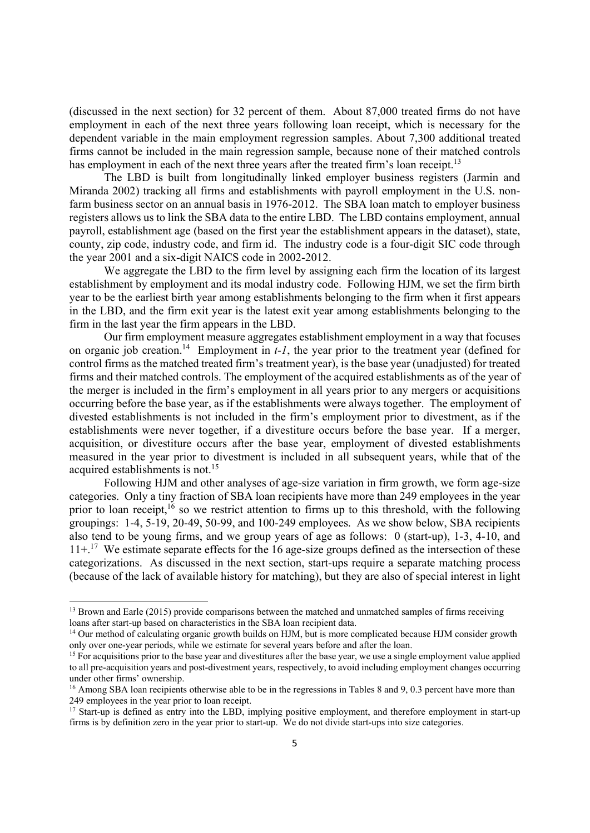(discussed in the next section) for 32 percent of them. About 87,000 treated firms do not have employment in each of the next three years following loan receipt, which is necessary for the dependent variable in the main employment regression samples. About 7,300 additional treated firms cannot be included in the main regression sample, because none of their matched controls has employment in each of the next three years after the treated firm's loan receipt.<sup>13</sup>

 The LBD is built from longitudinally linked employer business registers (Jarmin and Miranda 2002) tracking all firms and establishments with payroll employment in the U.S. nonfarm business sector on an annual basis in 1976-2012. The SBA loan match to employer business registers allows us to link the SBA data to the entire LBD. The LBD contains employment, annual payroll, establishment age (based on the first year the establishment appears in the dataset), state, county, zip code, industry code, and firm id. The industry code is a four-digit SIC code through the year 2001 and a six-digit NAICS code in 2002-2012.

 We aggregate the LBD to the firm level by assigning each firm the location of its largest establishment by employment and its modal industry code. Following HJM, we set the firm birth year to be the earliest birth year among establishments belonging to the firm when it first appears in the LBD, and the firm exit year is the latest exit year among establishments belonging to the firm in the last year the firm appears in the LBD.

Our firm employment measure aggregates establishment employment in a way that focuses on organic job creation.<sup>14</sup> Employment in  $t$ -1, the year prior to the treatment year (defined for control firms as the matched treated firm's treatment year), is the base year (unadjusted) for treated firms and their matched controls. The employment of the acquired establishments as of the year of the merger is included in the firm's employment in all years prior to any mergers or acquisitions occurring before the base year, as if the establishments were always together. The employment of divested establishments is not included in the firm's employment prior to divestment, as if the establishments were never together, if a divestiture occurs before the base year. If a merger, acquisition, or divestiture occurs after the base year, employment of divested establishments measured in the year prior to divestment is included in all subsequent years, while that of the acquired establishments is not.<sup>15</sup>

Following HJM and other analyses of age-size variation in firm growth, we form age-size categories. Only a tiny fraction of SBA loan recipients have more than 249 employees in the year prior to loan receipt,<sup>16</sup> so we restrict attention to firms up to this threshold, with the following groupings: 1-4, 5-19, 20-49, 50-99, and 100-249 employees. As we show below, SBA recipients also tend to be young firms, and we group years of age as follows: 0 (start-up), 1-3, 4-10, and  $11+$ <sup>17</sup>. We estimate separate effects for the 16 age-size groups defined as the intersection of these categorizations. As discussed in the next section, start-ups require a separate matching process (because of the lack of available history for matching), but they are also of special interest in light

<sup>&</sup>lt;sup>13</sup> Brown and Earle (2015) provide comparisons between the matched and unmatched samples of firms receiving loans after start-up based on characteristics in the SBA loan recipient data.

<sup>&</sup>lt;sup>14</sup> Our method of calculating organic growth builds on HJM, but is more complicated because HJM consider growth only over one-year periods, while we estimate for several years before and after the loan.

<sup>&</sup>lt;sup>15</sup> For acquisitions prior to the base year and divestitures after the base year, we use a single employment value applied to all pre-acquisition years and post-divestment years, respectively, to avoid including employment changes occurring under other firms' ownership.

<sup>&</sup>lt;sup>16</sup> Among SBA loan recipients otherwise able to be in the regressions in Tables 8 and 9, 0.3 percent have more than 249 employees in the year prior to loan receipt.

<sup>&</sup>lt;sup>17</sup> Start-up is defined as entry into the LBD, implying positive employment, and therefore employment in start-up firms is by definition zero in the year prior to start-up. We do not divide start-ups into size categories.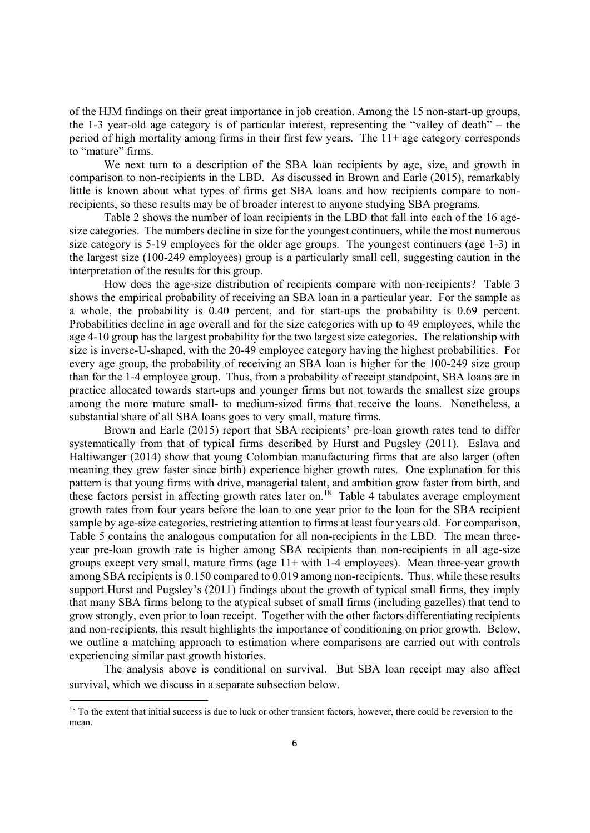of the HJM findings on their great importance in job creation. Among the 15 non-start-up groups, the 1-3 year-old age category is of particular interest, representing the "valley of death" – the period of high mortality among firms in their first few years. The 11+ age category corresponds to "mature" firms.

We next turn to a description of the SBA loan recipients by age, size, and growth in comparison to non-recipients in the LBD. As discussed in Brown and Earle (2015), remarkably little is known about what types of firms get SBA loans and how recipients compare to nonrecipients, so these results may be of broader interest to anyone studying SBA programs.

Table 2 shows the number of loan recipients in the LBD that fall into each of the 16 agesize categories. The numbers decline in size for the youngest continuers, while the most numerous size category is 5-19 employees for the older age groups. The youngest continuers (age 1-3) in the largest size (100-249 employees) group is a particularly small cell, suggesting caution in the interpretation of the results for this group.

How does the age-size distribution of recipients compare with non-recipients? Table 3 shows the empirical probability of receiving an SBA loan in a particular year. For the sample as a whole, the probability is 0.40 percent, and for start-ups the probability is 0.69 percent. Probabilities decline in age overall and for the size categories with up to 49 employees, while the age 4-10 group has the largest probability for the two largest size categories. The relationship with size is inverse-U-shaped, with the 20-49 employee category having the highest probabilities. For every age group, the probability of receiving an SBA loan is higher for the 100-249 size group than for the 1-4 employee group. Thus, from a probability of receipt standpoint, SBA loans are in practice allocated towards start-ups and younger firms but not towards the smallest size groups among the more mature small- to medium-sized firms that receive the loans. Nonetheless, a substantial share of all SBA loans goes to very small, mature firms.

Brown and Earle (2015) report that SBA recipients' pre-loan growth rates tend to differ systematically from that of typical firms described by Hurst and Pugsley (2011). Eslava and Haltiwanger (2014) show that young Colombian manufacturing firms that are also larger (often meaning they grew faster since birth) experience higher growth rates. One explanation for this pattern is that young firms with drive, managerial talent, and ambition grow faster from birth, and these factors persist in affecting growth rates later on.<sup>18</sup> Table 4 tabulates average employment growth rates from four years before the loan to one year prior to the loan for the SBA recipient sample by age-size categories, restricting attention to firms at least four years old. For comparison, Table 5 contains the analogous computation for all non-recipients in the LBD. The mean threeyear pre-loan growth rate is higher among SBA recipients than non-recipients in all age-size groups except very small, mature firms (age 11+ with 1-4 employees). Mean three-year growth among SBA recipients is 0.150 compared to 0.019 among non-recipients. Thus, while these results support Hurst and Pugsley's (2011) findings about the growth of typical small firms, they imply that many SBA firms belong to the atypical subset of small firms (including gazelles) that tend to grow strongly, even prior to loan receipt. Together with the other factors differentiating recipients and non-recipients, this result highlights the importance of conditioning on prior growth. Below, we outline a matching approach to estimation where comparisons are carried out with controls experiencing similar past growth histories.

The analysis above is conditional on survival. But SBA loan receipt may also affect survival, which we discuss in a separate subsection below.

<sup>&</sup>lt;sup>18</sup> To the extent that initial success is due to luck or other transient factors, however, there could be reversion to the mean.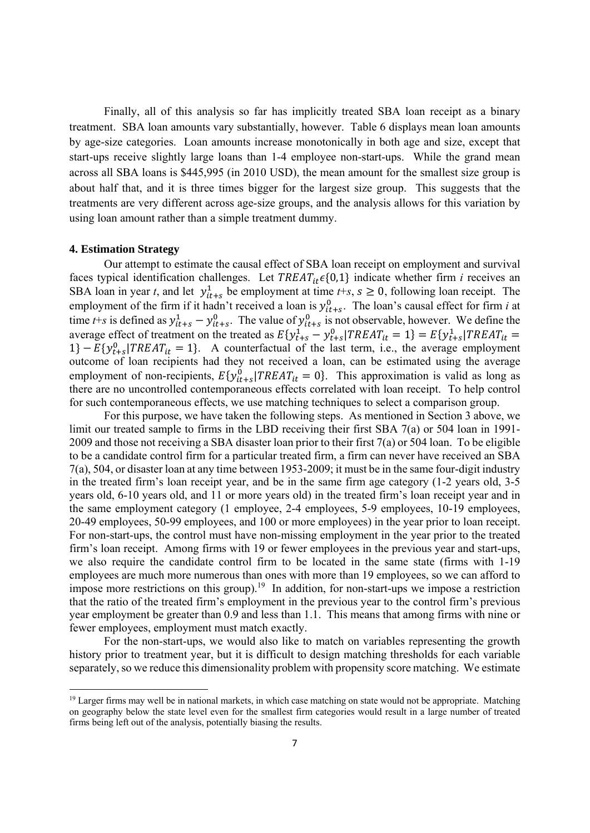Finally, all of this analysis so far has implicitly treated SBA loan receipt as a binary treatment. SBA loan amounts vary substantially, however. Table 6 displays mean loan amounts by age-size categories. Loan amounts increase monotonically in both age and size, except that start-ups receive slightly large loans than 1-4 employee non-start-ups. While the grand mean across all SBA loans is \$445,995 (in 2010 USD), the mean amount for the smallest size group is about half that, and it is three times bigger for the largest size group. This suggests that the treatments are very different across age-size groups, and the analysis allows for this variation by using loan amount rather than a simple treatment dummy.

#### **4. Estimation Strategy**

Our attempt to estimate the causal effect of SBA loan receipt on employment and survival faces typical identification challenges. Let  $TREAT_{it} \epsilon \{0,1\}$  indicate whether firm *i* receives an SBA loan in year *t*, and let  $y_{it+s}^1$  be employment at time *t*+*s*,  $s \ge 0$ , following loan receipt. The employment of the firm if it hadn't received a loan is  $y_{it+s}^0$ . The loan's causal effect for firm *i* at time *t*+*s* is defined as  $y_{it+s}^1 - y_{it+s}^0$ . The value of  $y_{it+s}^0$  is not observable, however. We define the average effect of treatment on the treated as  $E{y_{t+s}^1 - y_{t+s}^0 | TREAT_{it} = 1} = E{y_{t+s}^1 | TREAT_{it}} =$  $1 - E{y_{t+s}^0}$  | TREAT<sub>it</sub> = 1}. A counterfactual of the last term, i.e., the average employment outcome of loan recipients had they not received a loan, can be estimated using the average employment of non-recipients,  $E\{y_{it+s}^0 | TREAT_{it} = 0\}$ . This approximation is valid as long as there are no uncontrolled contemporaneous effects correlated with loan receipt. To help control for such contemporaneous effects, we use matching techniques to select a comparison group.

For this purpose, we have taken the following steps. As mentioned in Section 3 above, we limit our treated sample to firms in the LBD receiving their first SBA 7(a) or 504 loan in 1991- 2009 and those not receiving a SBA disaster loan prior to their first 7(a) or 504 loan. To be eligible to be a candidate control firm for a particular treated firm, a firm can never have received an SBA 7(a), 504, or disaster loan at any time between 1953-2009; it must be in the same four-digit industry in the treated firm's loan receipt year, and be in the same firm age category (1-2 years old, 3-5 years old, 6-10 years old, and 11 or more years old) in the treated firm's loan receipt year and in the same employment category (1 employee, 2-4 employees, 5-9 employees, 10-19 employees, 20-49 employees, 50-99 employees, and 100 or more employees) in the year prior to loan receipt. For non-start-ups, the control must have non-missing employment in the year prior to the treated firm's loan receipt. Among firms with 19 or fewer employees in the previous year and start-ups, we also require the candidate control firm to be located in the same state (firms with 1-19 employees are much more numerous than ones with more than 19 employees, so we can afford to impose more restrictions on this group).<sup>19</sup> In addition, for non-start-ups we impose a restriction that the ratio of the treated firm's employment in the previous year to the control firm's previous year employment be greater than 0.9 and less than 1.1. This means that among firms with nine or fewer employees, employment must match exactly.

For the non-start-ups, we would also like to match on variables representing the growth history prior to treatment year, but it is difficult to design matching thresholds for each variable separately, so we reduce this dimensionality problem with propensity score matching. We estimate

 $<sup>19</sup>$  Larger firms may well be in national markets, in which case matching on state would not be appropriate. Matching</sup> on geography below the state level even for the smallest firm categories would result in a large number of treated firms being left out of the analysis, potentially biasing the results.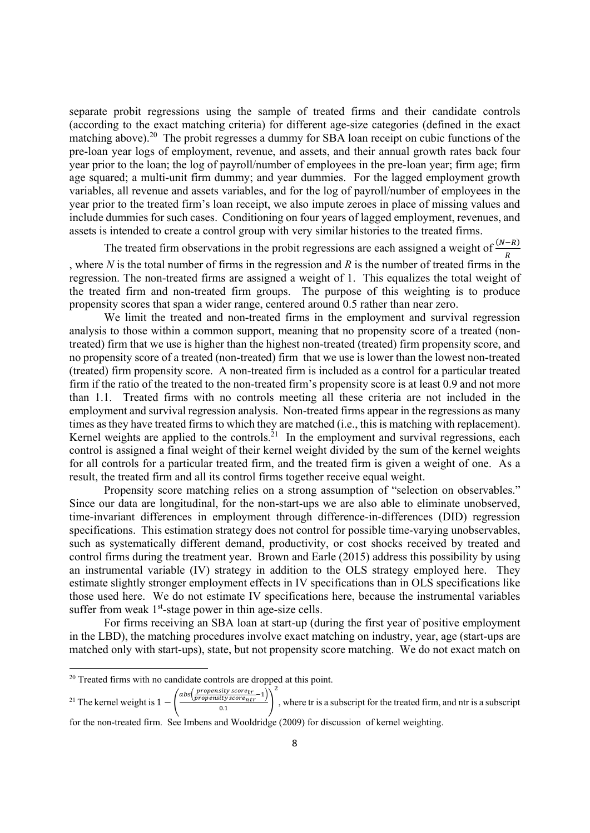separate probit regressions using the sample of treated firms and their candidate controls (according to the exact matching criteria) for different age-size categories (defined in the exact matching above).<sup>20</sup> The probit regresses a dummy for SBA loan receipt on cubic functions of the pre-loan year logs of employment, revenue, and assets, and their annual growth rates back four year prior to the loan; the log of payroll/number of employees in the pre-loan year; firm age; firm age squared; a multi-unit firm dummy; and year dummies. For the lagged employment growth variables, all revenue and assets variables, and for the log of payroll/number of employees in the year prior to the treated firm's loan receipt, we also impute zeroes in place of missing values and include dummies for such cases. Conditioning on four years of lagged employment, revenues, and assets is intended to create a control group with very similar histories to the treated firms.

The treated firm observations in the probit regressions are each assigned a weight of  $\frac{(N-R)}{R}$ , where *N* is the total number of firms in the regression and *R* is the number of treated firms in the regression. The non-treated firms are assigned a weight of 1. This equalizes the total weight of the treated firm and non-treated firm groups. The purpose of this weighting is to produce propensity scores that span a wider range, centered around 0.5 rather than near zero.

We limit the treated and non-treated firms in the employment and survival regression analysis to those within a common support, meaning that no propensity score of a treated (nontreated) firm that we use is higher than the highest non-treated (treated) firm propensity score, and no propensity score of a treated (non-treated) firm that we use is lower than the lowest non-treated (treated) firm propensity score. A non-treated firm is included as a control for a particular treated firm if the ratio of the treated to the non-treated firm's propensity score is at least 0.9 and not more than 1.1. Treated firms with no controls meeting all these criteria are not included in the employment and survival regression analysis. Non-treated firms appear in the regressions as many times as they have treated firms to which they are matched (i.e., this is matching with replacement). Kernel weights are applied to the controls.<sup>21</sup> In the employment and survival regressions, each control is assigned a final weight of their kernel weight divided by the sum of the kernel weights for all controls for a particular treated firm, and the treated firm is given a weight of one. As a result, the treated firm and all its control firms together receive equal weight.

Propensity score matching relies on a strong assumption of "selection on observables." Since our data are longitudinal, for the non-start-ups we are also able to eliminate unobserved, time-invariant differences in employment through difference-in-differences (DID) regression specifications. This estimation strategy does not control for possible time-varying unobservables, such as systematically different demand, productivity, or cost shocks received by treated and control firms during the treatment year. Brown and Earle (2015) address this possibility by using an instrumental variable (IV) strategy in addition to the OLS strategy employed here. They estimate slightly stronger employment effects in IV specifications than in OLS specifications like those used here. We do not estimate IV specifications here, because the instrumental variables suffer from weak  $1<sup>st</sup>$ -stage power in thin age-size cells.

For firms receiving an SBA loan at start-up (during the first year of positive employment in the LBD), the matching procedures involve exact matching on industry, year, age (start-ups are matched only with start-ups), state, but not propensity score matching. We do not exact match on

<sup>21</sup> The kernel weight is  $1 - \left( \frac{abs(\frac{propensity score_{tr}}{propensity score_{ntr}} - 1)}{0.1} \right)$ 

, where tr is a subscript for the treated firm, and ntr is a subscript

for the non-treated firm. See Imbens and Wooldridge (2009) for discussion of kernel weighting.

 $\overline{\mathbf{c}}$ 

<sup>&</sup>lt;sup>20</sup> Treated firms with no candidate controls are dropped at this point.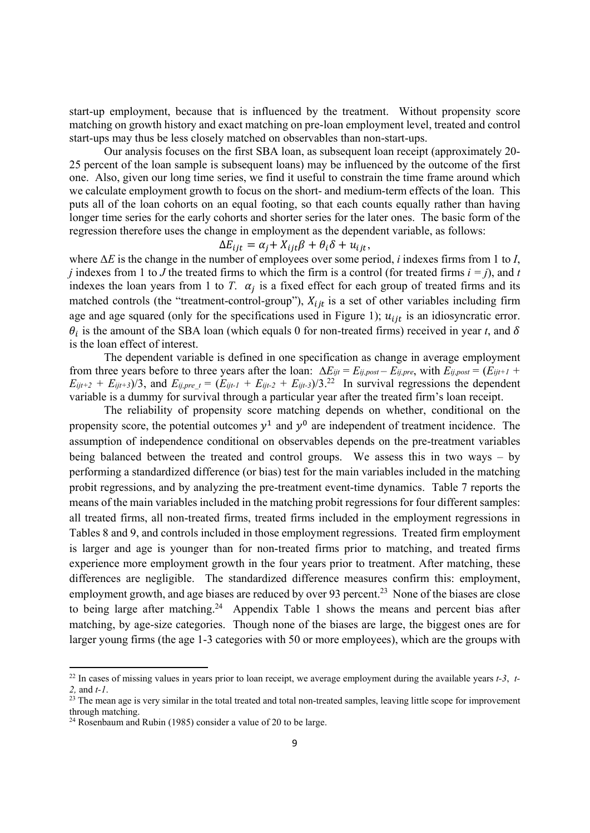start-up employment, because that is influenced by the treatment. Without propensity score matching on growth history and exact matching on pre-loan employment level, treated and control start-ups may thus be less closely matched on observables than non-start-ups.

Our analysis focuses on the first SBA loan, as subsequent loan receipt (approximately 20- 25 percent of the loan sample is subsequent loans) may be influenced by the outcome of the first one. Also, given our long time series, we find it useful to constrain the time frame around which we calculate employment growth to focus on the short- and medium-term effects of the loan. This puts all of the loan cohorts on an equal footing, so that each counts equally rather than having longer time series for the early cohorts and shorter series for the later ones. The basic form of the regression therefore uses the change in employment as the dependent variable, as follows:

$$
\Delta E_{ijt} = \alpha_j + X_{ijt}\beta + \theta_i\delta + u_{ijt},
$$

where Δ*E* is the change in the number of employees over some period, *i* indexes firms from 1 to *I*, *j* indexes from 1 to *J* the treated firms to which the firm is a control (for treated firms  $i = j$ ), and *t* indexes the loan years from 1 to *T*.  $\alpha_i$  is a fixed effect for each group of treated firms and its matched controls (the "treatment-control-group"),  $X_{i}$  is a set of other variables including firm age and age squared (only for the specifications used in Figure 1);  $u_{iit}$  is an idiosyncratic error.  $\theta_i$  is the amount of the SBA loan (which equals 0 for non-treated firms) received in year *t*, and  $\delta$ is the loan effect of interest.

The dependent variable is defined in one specification as change in average employment from three years before to three years after the loan:  $\Delta E_{ijt} = E_{ij,post} - E_{ij,post}$ , with  $E_{ij,post} = (E_{ijt+1} + E_{ij,post})$  $E_{ijt+2} + E_{ijt+3}/3$ , and  $E_{ij,pre}$   $_t = (E_{ijt-1} + E_{ijt-2} + E_{ijt-3})/3$ .<sup>22</sup> In survival regressions the dependent variable is a dummy for survival through a particular year after the treated firm's loan receipt.

The reliability of propensity score matching depends on whether, conditional on the propensity score, the potential outcomes  $y^1$  and  $y^0$  are independent of treatment incidence. The assumption of independence conditional on observables depends on the pre-treatment variables being balanced between the treated and control groups. We assess this in two ways – by performing a standardized difference (or bias) test for the main variables included in the matching probit regressions, and by analyzing the pre-treatment event-time dynamics. Table 7 reports the means of the main variables included in the matching probit regressions for four different samples: all treated firms, all non-treated firms, treated firms included in the employment regressions in Tables 8 and 9, and controls included in those employment regressions. Treated firm employment is larger and age is younger than for non-treated firms prior to matching, and treated firms experience more employment growth in the four years prior to treatment. After matching, these differences are negligible. The standardized difference measures confirm this: employment, employment growth, and age biases are reduced by over 93 percent.<sup>23</sup> None of the biases are close to being large after matching.<sup>24</sup> Appendix Table 1 shows the means and percent bias after matching, by age-size categories. Though none of the biases are large, the biggest ones are for larger young firms (the age 1-3 categories with 50 or more employees), which are the groups with

<sup>22</sup> In cases of missing values in years prior to loan receipt, we average employment during the available years *t-3*, *t-*2, and *t-1*. <sup>23</sup> The mean age is very similar in the total treated and total non-treated samples, leaving little scope for improvement

through matching.

<sup>24</sup> Rosenbaum and Rubin (1985) consider a value of 20 to be large.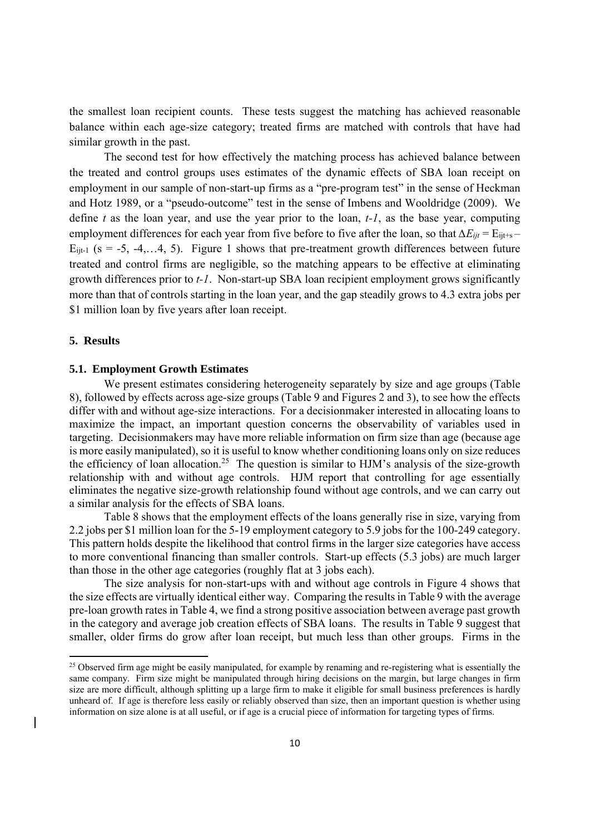the smallest loan recipient counts. These tests suggest the matching has achieved reasonable balance within each age-size category; treated firms are matched with controls that have had similar growth in the past.

The second test for how effectively the matching process has achieved balance between the treated and control groups uses estimates of the dynamic effects of SBA loan receipt on employment in our sample of non-start-up firms as a "pre-program test" in the sense of Heckman and Hotz 1989, or a "pseudo-outcome" test in the sense of Imbens and Wooldridge (2009). We define *t* as the loan year, and use the year prior to the loan, *t-1*, as the base year, computing employment differences for each year from five before to five after the loan, so that *∆E<sub>ijt</sub>* = E<sub>ijt+s</sub> –  $E_{i,t-1}$  (s = -5, -4,...4, 5). Figure 1 shows that pre-treatment growth differences between future treated and control firms are negligible, so the matching appears to be effective at eliminating growth differences prior to *t-1*. Non-start-up SBA loan recipient employment grows significantly more than that of controls starting in the loan year, and the gap steadily grows to 4.3 extra jobs per \$1 million loan by five years after loan receipt.

#### **5. Results**

#### **5.1. Employment Growth Estimates**

We present estimates considering heterogeneity separately by size and age groups (Table 8), followed by effects across age-size groups (Table 9 and Figures 2 and 3), to see how the effects differ with and without age-size interactions. For a decisionmaker interested in allocating loans to maximize the impact, an important question concerns the observability of variables used in targeting. Decisionmakers may have more reliable information on firm size than age (because age is more easily manipulated), so it is useful to know whether conditioning loans only on size reduces the efficiency of loan allocation.<sup>25</sup> The question is similar to HJM's analysis of the size-growth relationship with and without age controls. HJM report that controlling for age essentially eliminates the negative size-growth relationship found without age controls, and we can carry out a similar analysis for the effects of SBA loans.

Table 8 shows that the employment effects of the loans generally rise in size, varying from 2.2 jobs per \$1 million loan for the 5-19 employment category to 5.9 jobs for the 100-249 category. This pattern holds despite the likelihood that control firms in the larger size categories have access to more conventional financing than smaller controls. Start-up effects (5.3 jobs) are much larger than those in the other age categories (roughly flat at 3 jobs each).

The size analysis for non-start-ups with and without age controls in Figure 4 shows that the size effects are virtually identical either way. Comparing the results in Table 9 with the average pre-loan growth rates in Table 4, we find a strong positive association between average past growth in the category and average job creation effects of SBA loans. The results in Table 9 suggest that smaller, older firms do grow after loan receipt, but much less than other groups. Firms in the

<sup>&</sup>lt;sup>25</sup> Observed firm age might be easily manipulated, for example by renaming and re-registering what is essentially the same company. Firm size might be manipulated through hiring decisions on the margin, but large changes in firm size are more difficult, although splitting up a large firm to make it eligible for small business preferences is hardly unheard of. If age is therefore less easily or reliably observed than size, then an important question is whether using information on size alone is at all useful, or if age is a crucial piece of information for targeting types of firms.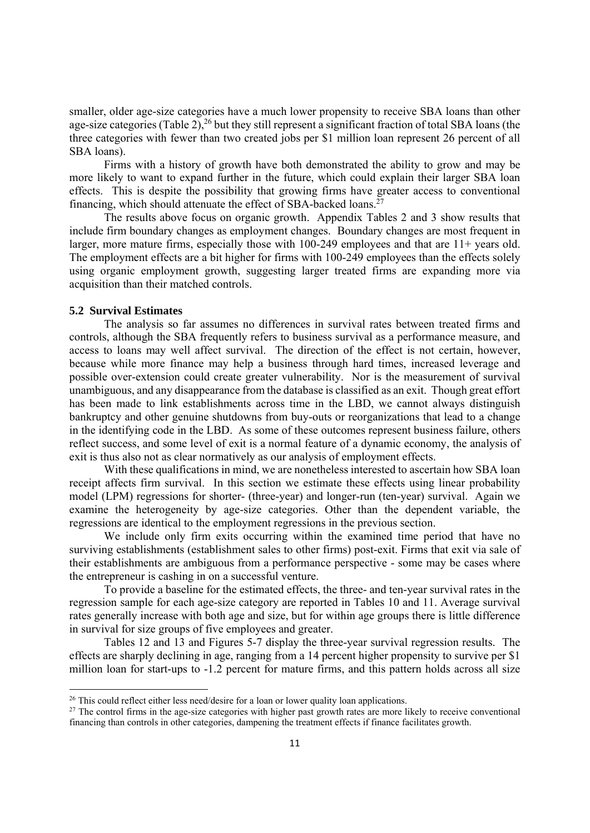smaller, older age-size categories have a much lower propensity to receive SBA loans than other age-size categories (Table 2),<sup>26</sup> but they still represent a significant fraction of total SBA loans (the three categories with fewer than two created jobs per \$1 million loan represent 26 percent of all SBA loans).

Firms with a history of growth have both demonstrated the ability to grow and may be more likely to want to expand further in the future, which could explain their larger SBA loan effects. This is despite the possibility that growing firms have greater access to conventional financing, which should attenuate the effect of SBA-backed loans.27

The results above focus on organic growth. Appendix Tables 2 and 3 show results that include firm boundary changes as employment changes. Boundary changes are most frequent in larger, more mature firms, especially those with 100-249 employees and that are 11+ years old. The employment effects are a bit higher for firms with 100-249 employees than the effects solely using organic employment growth, suggesting larger treated firms are expanding more via acquisition than their matched controls.

#### **5.2 Survival Estimates**

The analysis so far assumes no differences in survival rates between treated firms and controls, although the SBA frequently refers to business survival as a performance measure, and access to loans may well affect survival. The direction of the effect is not certain, however, because while more finance may help a business through hard times, increased leverage and possible over-extension could create greater vulnerability. Nor is the measurement of survival unambiguous, and any disappearance from the database is classified as an exit. Though great effort has been made to link establishments across time in the LBD, we cannot always distinguish bankruptcy and other genuine shutdowns from buy-outs or reorganizations that lead to a change in the identifying code in the LBD. As some of these outcomes represent business failure, others reflect success, and some level of exit is a normal feature of a dynamic economy, the analysis of exit is thus also not as clear normatively as our analysis of employment effects.

With these qualifications in mind, we are nonetheless interested to ascertain how SBA loan receipt affects firm survival. In this section we estimate these effects using linear probability model (LPM) regressions for shorter- (three-year) and longer-run (ten-year) survival. Again we examine the heterogeneity by age-size categories. Other than the dependent variable, the regressions are identical to the employment regressions in the previous section.

 We include only firm exits occurring within the examined time period that have no surviving establishments (establishment sales to other firms) post-exit. Firms that exit via sale of their establishments are ambiguous from a performance perspective - some may be cases where the entrepreneur is cashing in on a successful venture.

 To provide a baseline for the estimated effects, the three- and ten-year survival rates in the regression sample for each age-size category are reported in Tables 10 and 11. Average survival rates generally increase with both age and size, but for within age groups there is little difference in survival for size groups of five employees and greater.

 Tables 12 and 13 and Figures 5-7 display the three-year survival regression results. The effects are sharply declining in age, ranging from a 14 percent higher propensity to survive per \$1 million loan for start-ups to -1.2 percent for mature firms, and this pattern holds across all size

<sup>&</sup>lt;sup>26</sup> This could reflect either less need/desire for a loan or lower quality loan applications.

<sup>&</sup>lt;sup>27</sup> The control firms in the age-size categories with higher past growth rates are more likely to receive conventional financing than controls in other categories, dampening the treatment effects if finance facilitates growth.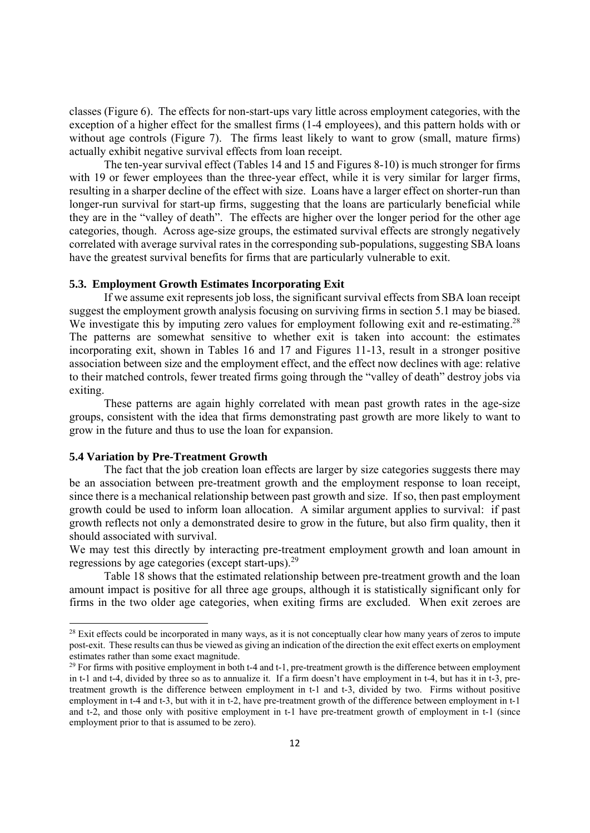classes (Figure 6). The effects for non-start-ups vary little across employment categories, with the exception of a higher effect for the smallest firms (1-4 employees), and this pattern holds with or without age controls (Figure 7). The firms least likely to want to grow (small, mature firms) actually exhibit negative survival effects from loan receipt.

The ten-year survival effect (Tables 14 and 15 and Figures 8-10) is much stronger for firms with 19 or fewer employees than the three-year effect, while it is very similar for larger firms, resulting in a sharper decline of the effect with size. Loans have a larger effect on shorter-run than longer-run survival for start-up firms, suggesting that the loans are particularly beneficial while they are in the "valley of death". The effects are higher over the longer period for the other age categories, though. Across age-size groups, the estimated survival effects are strongly negatively correlated with average survival rates in the corresponding sub-populations, suggesting SBA loans have the greatest survival benefits for firms that are particularly vulnerable to exit.

#### **5.3. Employment Growth Estimates Incorporating Exit**

If we assume exit represents job loss, the significant survival effects from SBA loan receipt suggest the employment growth analysis focusing on surviving firms in section 5.1 may be biased. We investigate this by imputing zero values for employment following exit and re-estimating.<sup>28</sup> The patterns are somewhat sensitive to whether exit is taken into account: the estimates incorporating exit, shown in Tables 16 and 17 and Figures 11-13, result in a stronger positive association between size and the employment effect, and the effect now declines with age: relative to their matched controls, fewer treated firms going through the "valley of death" destroy jobs via exiting.

 These patterns are again highly correlated with mean past growth rates in the age-size groups, consistent with the idea that firms demonstrating past growth are more likely to want to grow in the future and thus to use the loan for expansion.

#### **5.4 Variation by Pre-Treatment Growth**

 The fact that the job creation loan effects are larger by size categories suggests there may be an association between pre-treatment growth and the employment response to loan receipt, since there is a mechanical relationship between past growth and size. If so, then past employment growth could be used to inform loan allocation. A similar argument applies to survival: if past growth reflects not only a demonstrated desire to grow in the future, but also firm quality, then it should associated with survival.

We may test this directly by interacting pre-treatment employment growth and loan amount in regressions by age categories (except start-ups).29

Table 18 shows that the estimated relationship between pre-treatment growth and the loan amount impact is positive for all three age groups, although it is statistically significant only for firms in the two older age categories, when exiting firms are excluded. When exit zeroes are

 $28$  Exit effects could be incorporated in many ways, as it is not conceptually clear how many years of zeros to impute post-exit. These results can thus be viewed as giving an indication of the direction the exit effect exerts on employment estimates rather than some exact magnitude.

<sup>&</sup>lt;sup>29</sup> For firms with positive employment in both t-4 and t-1, pre-treatment growth is the difference between employment in t-1 and t-4, divided by three so as to annualize it. If a firm doesn't have employment in t-4, but has it in t-3, pretreatment growth is the difference between employment in t-1 and t-3, divided by two. Firms without positive employment in t-4 and t-3, but with it in t-2, have pre-treatment growth of the difference between employment in t-1 and t-2, and those only with positive employment in t-1 have pre-treatment growth of employment in t-1 (since employment prior to that is assumed to be zero).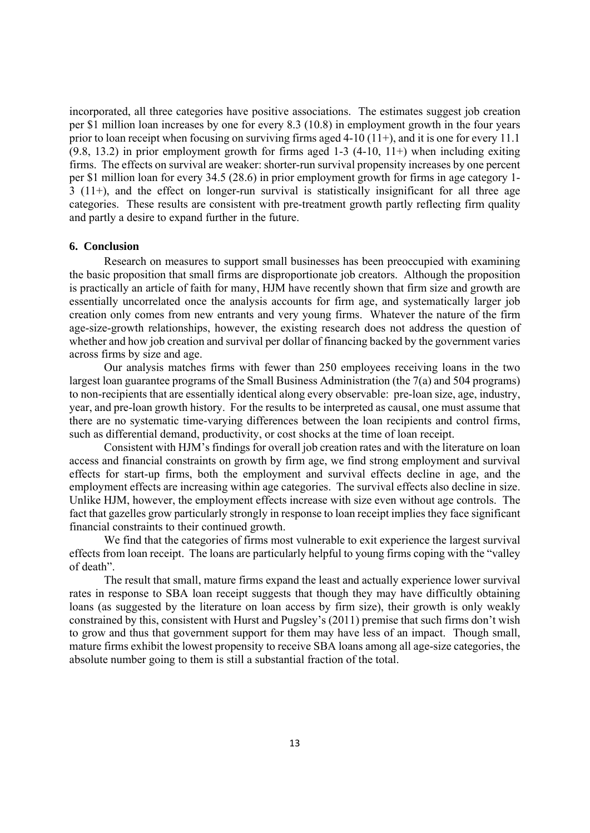incorporated, all three categories have positive associations. The estimates suggest job creation per \$1 million loan increases by one for every 8.3 (10.8) in employment growth in the four years prior to loan receipt when focusing on surviving firms aged  $4-10(11+)$ , and it is one for every 11.1 (9.8, 13.2) in prior employment growth for firms aged 1-3 (4-10, 11+) when including exiting firms. The effects on survival are weaker: shorter-run survival propensity increases by one percent per \$1 million loan for every 34.5 (28.6) in prior employment growth for firms in age category 1- 3 (11+), and the effect on longer-run survival is statistically insignificant for all three age categories. These results are consistent with pre-treatment growth partly reflecting firm quality and partly a desire to expand further in the future.

#### **6. Conclusion**

 Research on measures to support small businesses has been preoccupied with examining the basic proposition that small firms are disproportionate job creators. Although the proposition is practically an article of faith for many, HJM have recently shown that firm size and growth are essentially uncorrelated once the analysis accounts for firm age, and systematically larger job creation only comes from new entrants and very young firms. Whatever the nature of the firm age-size-growth relationships, however, the existing research does not address the question of whether and how job creation and survival per dollar of financing backed by the government varies across firms by size and age.

 Our analysis matches firms with fewer than 250 employees receiving loans in the two largest loan guarantee programs of the Small Business Administration (the 7(a) and 504 programs) to non-recipients that are essentially identical along every observable: pre-loan size, age, industry, year, and pre-loan growth history. For the results to be interpreted as causal, one must assume that there are no systematic time-varying differences between the loan recipients and control firms, such as differential demand, productivity, or cost shocks at the time of loan receipt.

 Consistent with HJM's findings for overall job creation rates and with the literature on loan access and financial constraints on growth by firm age, we find strong employment and survival effects for start-up firms, both the employment and survival effects decline in age, and the employment effects are increasing within age categories. The survival effects also decline in size. Unlike HJM, however, the employment effects increase with size even without age controls. The fact that gazelles grow particularly strongly in response to loan receipt implies they face significant financial constraints to their continued growth.

 We find that the categories of firms most vulnerable to exit experience the largest survival effects from loan receipt. The loans are particularly helpful to young firms coping with the "valley of death".

The result that small, mature firms expand the least and actually experience lower survival rates in response to SBA loan receipt suggests that though they may have difficultly obtaining loans (as suggested by the literature on loan access by firm size), their growth is only weakly constrained by this, consistent with Hurst and Pugsley's (2011) premise that such firms don't wish to grow and thus that government support for them may have less of an impact. Though small, mature firms exhibit the lowest propensity to receive SBA loans among all age-size categories, the absolute number going to them is still a substantial fraction of the total.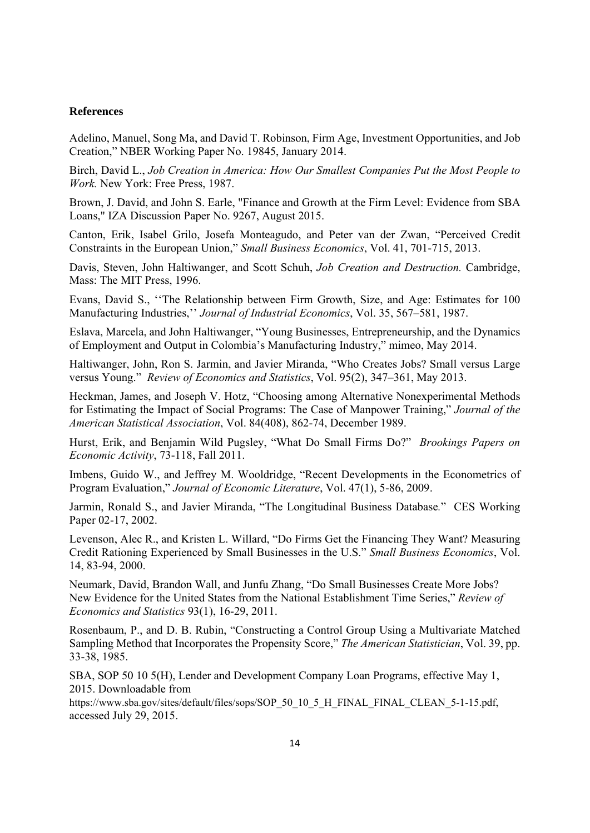#### **References**

Adelino, Manuel, Song Ma, and David T. Robinson, Firm Age, Investment Opportunities, and Job Creation," NBER Working Paper No. 19845, January 2014.

Birch, David L., *Job Creation in America: How Our Smallest Companies Put the Most People to Work.* New York: Free Press, 1987.

Brown, J. David, and John S. Earle, "Finance and Growth at the Firm Level: Evidence from SBA Loans," IZA Discussion Paper No. 9267, August 2015.

Canton, Erik, Isabel Grilo, Josefa Monteagudo, and Peter van der Zwan, "Perceived Credit Constraints in the European Union," *Small Business Economics*, Vol. 41, 701-715, 2013.

Davis, Steven, John Haltiwanger, and Scott Schuh, *Job Creation and Destruction.* Cambridge, Mass: The MIT Press, 1996.

Evans, David S., ''The Relationship between Firm Growth, Size, and Age: Estimates for 100 Manufacturing Industries,'' *Journal of Industrial Economics*, Vol. 35, 567–581, 1987.

Eslava, Marcela, and John Haltiwanger, "Young Businesses, Entrepreneurship, and the Dynamics of Employment and Output in Colombia's Manufacturing Industry," mimeo, May 2014.

Haltiwanger, John, Ron S. Jarmin, and Javier Miranda, "Who Creates Jobs? Small versus Large versus Young." *Review of Economics and Statistics*, Vol. 95(2), 347–361, May 2013.

Heckman, James, and Joseph V. Hotz, "Choosing among Alternative Nonexperimental Methods for Estimating the Impact of Social Programs: The Case of Manpower Training," *Journal of the American Statistical Association*, Vol. 84(408), 862-74, December 1989.

Hurst, Erik, and Benjamin Wild Pugsley, "What Do Small Firms Do?" *Brookings Papers on Economic Activity*, 73-118, Fall 2011.

Imbens, Guido W., and Jeffrey M. Wooldridge, "Recent Developments in the Econometrics of Program Evaluation," *Journal of Economic Literature*, Vol. 47(1), 5-86, 2009.

Jarmin, Ronald S., and Javier Miranda, "The Longitudinal Business Database*.*"CES Working Paper 02-17, 2002.

Levenson, Alec R., and Kristen L. Willard, "Do Firms Get the Financing They Want? Measuring Credit Rationing Experienced by Small Businesses in the U.S." *Small Business Economics*, Vol. 14, 83-94, 2000.

Neumark, David, Brandon Wall, and Junfu Zhang, "Do Small Businesses Create More Jobs? New Evidence for the United States from the National Establishment Time Series," *Review of Economics and Statistics* 93(1), 16-29, 2011.

Rosenbaum, P., and D. B. Rubin, "Constructing a Control Group Using a Multivariate Matched Sampling Method that Incorporates the Propensity Score," *The American Statistician*, Vol. 39, pp. 33-38, 1985.

SBA, SOP 50 10 5(H), Lender and Development Company Loan Programs, effective May 1, 2015. Downloadable from

https://www.sba.gov/sites/default/files/sops/SOP\_50\_10\_5\_H\_FINAL\_FINAL\_CLEAN\_5-1-15.pdf, accessed July 29, 2015.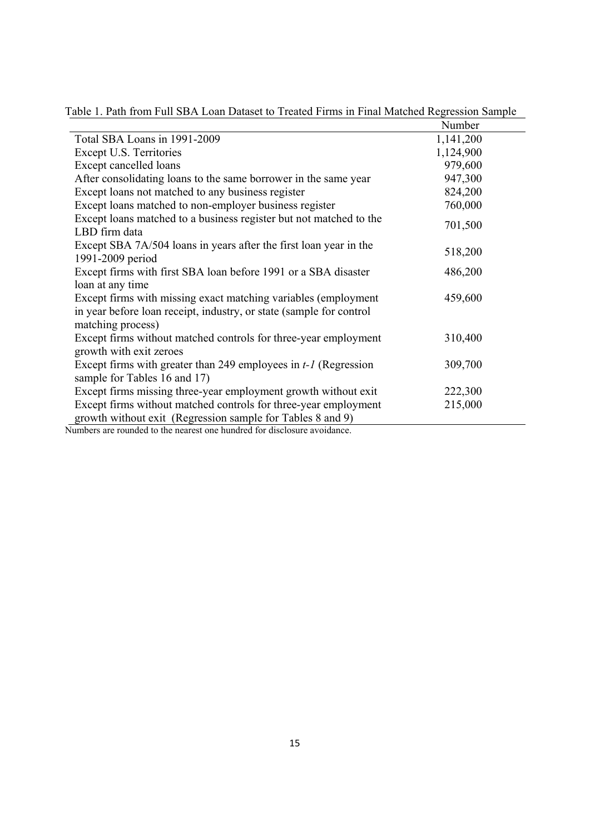|                                                                                                                               | Number    |
|-------------------------------------------------------------------------------------------------------------------------------|-----------|
| Total SBA Loans in 1991-2009                                                                                                  | 1,141,200 |
| Except U.S. Territories                                                                                                       | 1,124,900 |
| Except cancelled loans                                                                                                        | 979,600   |
| After consolidating loans to the same borrower in the same year                                                               | 947,300   |
| Except loans not matched to any business register                                                                             | 824,200   |
| Except loans matched to non-employer business register                                                                        | 760,000   |
| Except loans matched to a business register but not matched to the<br>LBD firm data                                           | 701,500   |
| Except SBA 7A/504 loans in years after the first loan year in the<br>1991-2009 period                                         | 518,200   |
| Except firms with first SBA loan before 1991 or a SBA disaster                                                                | 486,200   |
| loan at any time                                                                                                              |           |
| Except firms with missing exact matching variables (employment)                                                               | 459,600   |
| in year before loan receipt, industry, or state (sample for control                                                           |           |
| matching process)                                                                                                             |           |
| Except firms without matched controls for three-year employment                                                               | 310,400   |
| growth with exit zeroes                                                                                                       |           |
| Except firms with greater than 249 employees in $t-1$ (Regression                                                             | 309,700   |
| sample for Tables 16 and 17)                                                                                                  |           |
| Except firms missing three-year employment growth without exit                                                                | 222,300   |
| Except firms without matched controls for three-year employment<br>growth without exit (Regression sample for Tables 8 and 9) | 215,000   |

Table 1. Path from Full SBA Loan Dataset to Treated Firms in Final Matched Regression Sample

Numbers are rounded to the nearest one hundred for disclosure avoidance.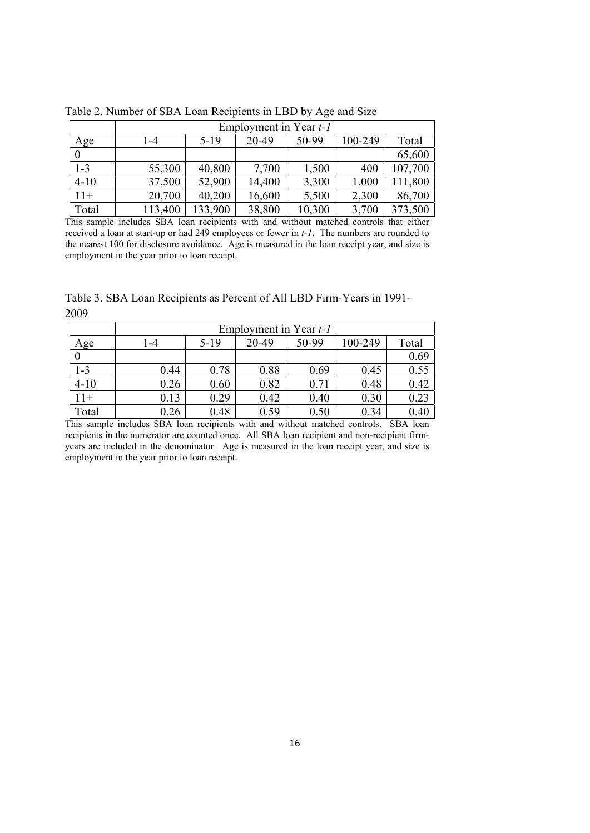|          | Employment in Year t-1 |         |        |        |         |         |  |  |
|----------|------------------------|---------|--------|--------|---------|---------|--|--|
| Age      | 1-4                    | $5-19$  | 20-49  | 50-99  | 100-249 | Total   |  |  |
|          |                        |         |        |        |         | 65,600  |  |  |
| $1 - 3$  | 55,300                 | 40,800  | 7,700  | 1,500  | 400     | 107,700 |  |  |
| $4 - 10$ | 37,500                 | 52,900  | 14,400 | 3,300  | 1,000   | 111,800 |  |  |
| $11+$    | 20,700                 | 40,200  | 16,600 | 5,500  | 2,300   | 86,700  |  |  |
| Total    | 113,400                | 133,900 | 38,800 | 10,300 | 3,700   | 373,500 |  |  |

Table 2. Number of SBA Loan Recipients in LBD by Age and Size

This sample includes SBA loan recipients with and without matched controls that either received a loan at start-up or had 249 employees or fewer in *t-1*. The numbers are rounded to the nearest 100 for disclosure avoidance. Age is measured in the loan receipt year, and size is employment in the year prior to loan receipt.

Table 3. SBA Loan Recipients as Percent of All LBD Firm-Years in 1991- 2009

|                  | Employment in Year t-1 |        |       |       |         |       |  |
|------------------|------------------------|--------|-------|-------|---------|-------|--|
| Age              | -4                     | $5-19$ | 20-49 | 50-99 | 100-249 | Total |  |
| $\boldsymbol{0}$ |                        |        |       |       |         | 0.69  |  |
| $1 - 3$          | 0.44                   | 0.78   | 0.88  | 0.69  | 0.45    | 0.55  |  |
| $4 - 10$         | 0.26                   | 0.60   | 0.82  | 0.71  | 0.48    | 0.42  |  |
| $11+$            | 0.13                   | 0.29   | 0.42  | 0.40  | 0.30    | 0.23  |  |
| Total            | 0.26                   | 0.48   | 0.59  | 0.50  | 0.34    | 0.40  |  |

This sample includes SBA loan recipients with and without matched controls. SBA loan recipients in the numerator are counted once. All SBA loan recipient and non-recipient firmyears are included in the denominator. Age is measured in the loan receipt year, and size is employment in the year prior to loan receipt.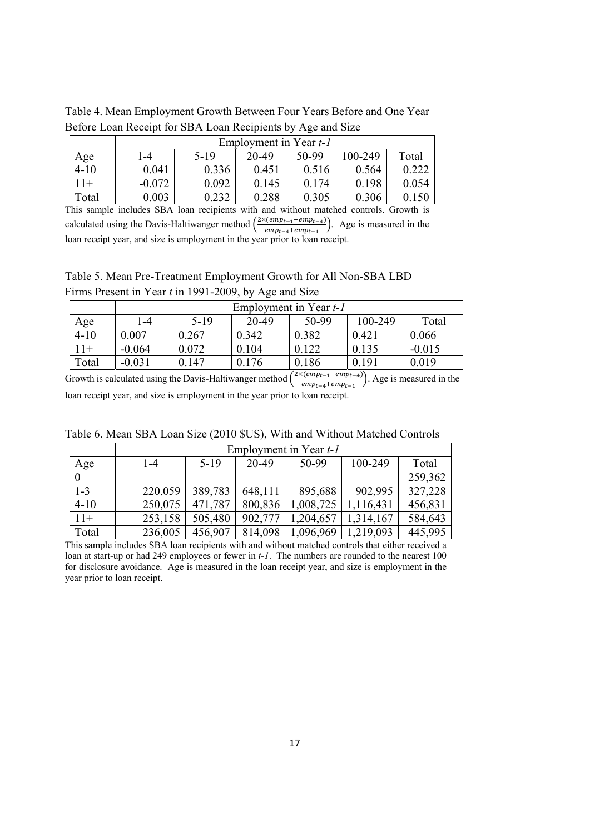|          | Employment in Year t-1 |        |       |       |         |       |  |
|----------|------------------------|--------|-------|-------|---------|-------|--|
| Age      | $-4$                   | $5-19$ | 20-49 | 50-99 | 100-249 | Total |  |
| $4 - 10$ | 0.041                  | 0.336  | 0.451 | 0.516 | 0.564   | 0.222 |  |
| $11+$    | $-0.072$               | 0.092  | 0.145 | 0.174 | 0.198   | 0.054 |  |
| Total    | 0.003                  | 0.232  | 0.288 | 0.305 | 0.306   |       |  |

Table 4. Mean Employment Growth Between Four Years Before and One Year Before Loan Receipt for SBA Loan Recipients by Age and Size

This sample includes SBA loan recipients with and without matched controls. Growth is calculated using the Davis-Haltiwanger method  $\left(\frac{2\times(emp_{t-1}-emp_{t-4})}{2\times(emp_{t-1}-emp_{t-4})}\right)$  $\frac{\text{term}_{t-1} - \text{temp}_{t-4}}{\text{emp}_{t-4} + \text{emp}_{t-1}}$ . Age is measured in the loan receipt year, and size is employment in the year prior to loan receipt.

Table 5. Mean Pre-Treatment Employment Growth for All Non-SBA LBD Firms Present in Year *t* in 1991-2009, by Age and Size

|          | Employment in Year t-1 |        |       |       |         |          |  |  |
|----------|------------------------|--------|-------|-------|---------|----------|--|--|
| Age      | $-4$                   | $5-19$ | 20-49 | 50-99 | 100-249 | Total    |  |  |
| $4 - 10$ | 0.007                  | 0.267  | 0.342 | 0.382 | 0.421   | 0.066    |  |  |
| $11+$    | $-0.064$               | 0.072  | 0.104 | 0.122 | 0.135   | $-0.015$ |  |  |
| Total    | $-0.031$               | 0.147  | 0.176 | 0.186 | 0.191   | 0.019    |  |  |

Growth is calculated using the Davis-Haltiwanger method  $\left(\frac{2\times(emp_{t-1}-emp_{t-4})}{sum_{t=1}^t q_t}\right)$  $\frac{\sum_{e \in (emp_{t-1} - emp_{t-4})}{emp_{t-4} + emp_{t-1}}$ . Age is measured in the loan receipt year, and size is employment in the year prior to loan receipt.

| Table 6. Mean SBA Loan Size (2010 \$US), With and Without Matched Controls |
|----------------------------------------------------------------------------|
| Employment in Year t-1                                                     |

 $\overline{\phantom{0}}$ 

|          | $empiovment$ in rear $t-1$ |         |         |           |           |         |  |  |
|----------|----------------------------|---------|---------|-----------|-----------|---------|--|--|
| Age      | 1-4                        | $5-19$  | 20-49   | 50-99     | 100-249   | Total   |  |  |
|          |                            |         |         |           |           | 259,362 |  |  |
| $1 - 3$  | 220,059                    | 389,783 | 648,111 | 895,688   | 902,995   | 327,228 |  |  |
| $4 - 10$ | 250,075                    | 471,787 | 800,836 | 1,008,725 | 1,116,431 | 456,831 |  |  |
| $11+$    | 253,158                    | 505,480 | 902,777 | 1,204,657 | 1,314,167 | 584,643 |  |  |
| Total    | 236,005                    | 456,907 | 814,098 | 1,096,969 | 1,219,093 | 445,995 |  |  |

This sample includes SBA loan recipients with and without matched controls that either received a loan at start-up or had 249 employees or fewer in *t-1*. The numbers are rounded to the nearest 100 for disclosure avoidance. Age is measured in the loan receipt year, and size is employment in the year prior to loan receipt.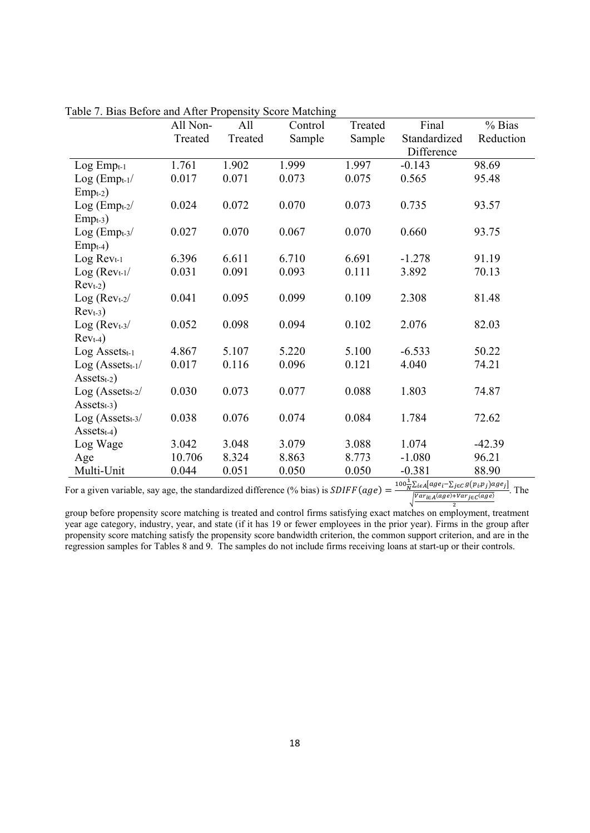|                       | All Non- | All     | Control | Treated | Final        | % Bias    |
|-----------------------|----------|---------|---------|---------|--------------|-----------|
|                       | Treated  | Treated | Sample  | Sample  | Standardized | Reduction |
|                       |          |         |         |         | Difference   |           |
| $Log Emp_{t-1}$       | 1.761    | 1.902   | 1.999   | 1.997   | $-0.143$     | 98.69     |
| $Log (Empt-1 /$       | 0.017    | 0.071   | 0.073   | 0.075   | 0.565        | 95.48     |
| $Empt-2)$             |          |         |         |         |              |           |
| $Log (Empt-2/$        | 0.024    | 0.072   | 0.070   | 0.073   | 0.735        | 93.57     |
| $Empt-3)$             |          |         |         |         |              |           |
| $Log (Empt-3 /$       | 0.027    | 0.070   | 0.067   | 0.070   | 0.660        | 93.75     |
| $Empt-4)$             |          |         |         |         |              |           |
| Log Revt-1            | 6.396    | 6.611   | 6.710   | 6.691   | $-1.278$     | 91.19     |
| $Log (Revt-1 /$       | 0.031    | 0.091   | 0.093   | 0.111   | 3.892        | 70.13     |
| $Revt-2$ )            |          |         |         |         |              |           |
| $Log (Revt-2 /$       | 0.041    | 0.095   | 0.099   | 0.109   | 2.308        | 81.48     |
| $Revt-3$              |          |         |         |         |              |           |
| $Log (Revt-3 /$       | 0.052    | 0.098   | 0.094   | 0.102   | 2.076        | 82.03     |
| $Revt-4$              |          |         |         |         |              |           |
| Log Assetst-1         | 4.867    | 5.107   | 5.220   | 5.100   | $-6.533$     | 50.22     |
| $Log (Assets_{t-1}/$  | 0.017    | 0.116   | 0.096   | 0.121   | 4.040        | 74.21     |
| $\text{Assets}_{t-2}$ |          |         |         |         |              |           |
| $Log (Assets_{t-2}/$  | 0.030    | 0.073   | 0.077   | 0.088   | 1.803        | 74.87     |
| $\text{Assets}_{t-3}$ |          |         |         |         |              |           |
| $Log (Assets_{t-3}/$  | 0.038    | 0.076   | 0.074   | 0.084   | 1.784        | 72.62     |
| $\text{Assets}_{t-4}$ |          |         |         |         |              |           |
| Log Wage              | 3.042    | 3.048   | 3.079   | 3.088   | 1.074        | $-42.39$  |
| Age                   | 10.706   | 8.324   | 8.863   | 8.773   | $-1.080$     | 96.21     |
| Multi-Unit            | 0.044    | 0.051   | 0.050   | 0.050   | $-0.381$     | 88.90     |

Table 7. Bias Before and After Propensity Score Matching

For a given variable, say age, the standardized difference (% bias) is  $SDIFF(age) = \frac{100\frac{1}{N}\sum_{i\in A}[age_i - \sum_{j\in C}g(p_i, p_j)age_j]}{W(1, 2, 3)}$  $\sqrt{\frac{Var_{i\in A}(age)+Var_{j\in C}(age)}{2}}$ . The

group before propensity score matching is treated and control firms satisfying exact matches on employment, treatment year age category, industry, year, and state (if it has 19 or fewer employees in the prior year). Firms in the group after propensity score matching satisfy the propensity score bandwidth criterion, the common support criterion, and are in the regression samples for Tables 8 and 9. The samples do not include firms receiving loans at start-up or their controls.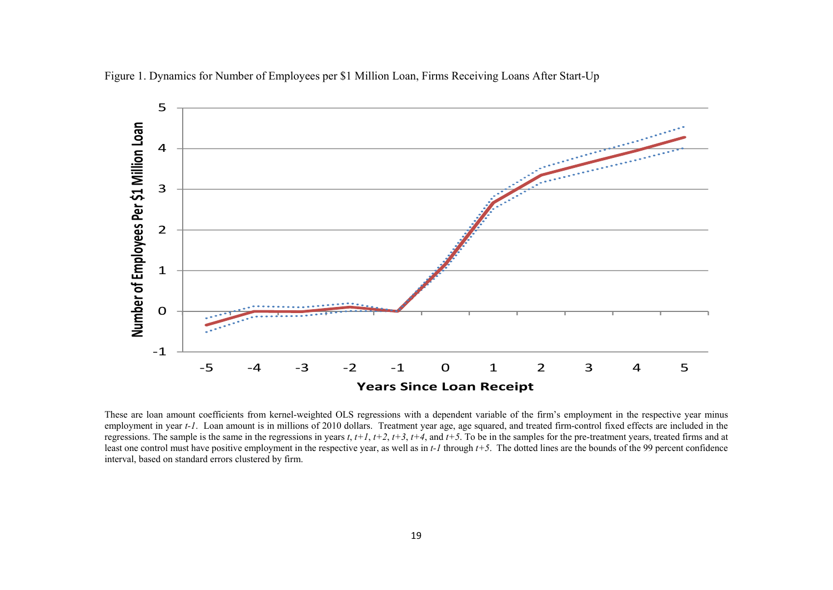

Figure 1. Dynamics for Number of Employees per \$1 Million Loan, Firms Receiving Loans After Start-Up

These are loan amount coefficients from kernel-weighted OLS regressions with a dependent variable of the firm's employment in the respective year minus employment in year *t-1*. Loan amount is in millions of 2010 dollars. Treatment year age, age squared, and treated firm-control fixed effects are included in the regressions. The sample is the same in the regressions in years *t*,  $t+1$ ,  $t+2$ ,  $t+3$ ,  $t+4$ , and  $t+5$ . To be in the samples for the pre-treatment years, treated firms and at least one control must have positive employment in the respective year, as well as in *t-1* through *t*+5. The dotted lines are the bounds of the 99 percent confidence interval, based on standard errors clustered by firm.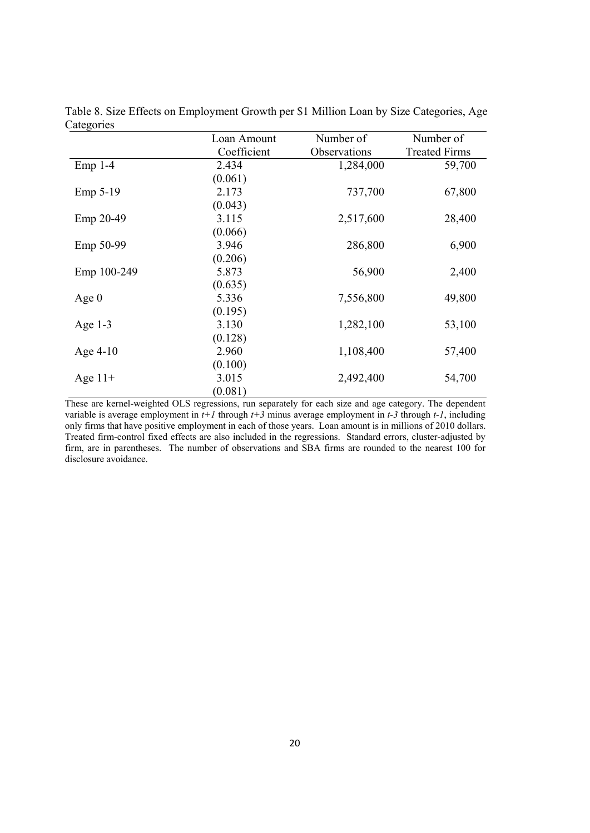|             | Loan Amount | Number of    | Number of            |
|-------------|-------------|--------------|----------------------|
|             | Coefficient | Observations | <b>Treated Firms</b> |
| $Emp 1-4$   | 2.434       | 1,284,000    | 59,700               |
|             | (0.061)     |              |                      |
| Emp 5-19    | 2.173       | 737,700      | 67,800               |
|             | (0.043)     |              |                      |
| Emp 20-49   | 3.115       | 2,517,600    | 28,400               |
|             | (0.066)     |              |                      |
| Emp 50-99   | 3.946       | 286,800      | 6,900                |
|             | (0.206)     |              |                      |
| Emp 100-249 | 5.873       | 56,900       | 2,400                |
|             | (0.635)     |              |                      |
| Age $0$     | 5.336       | 7,556,800    | 49,800               |
|             | (0.195)     |              |                      |
| Age $1-3$   | 3.130       | 1,282,100    | 53,100               |
|             | (0.128)     |              |                      |
| Age $4-10$  | 2.960       | 1,108,400    | 57,400               |
|             | (0.100)     |              |                      |
| Age $11+$   | 3.015       | 2,492,400    | 54,700               |
|             | (0.081)     |              |                      |

Table 8. Size Effects on Employment Growth per \$1 Million Loan by Size Categories, Age **Categories** 

These are kernel-weighted OLS regressions, run separately for each size and age category. The dependent variable is average employment in *t+1* through *t+3* minus average employment in *t-3* through *t-1*, including only firms that have positive employment in each of those years. Loan amount is in millions of 2010 dollars. Treated firm-control fixed effects are also included in the regressions. Standard errors, cluster-adjusted by firm, are in parentheses. The number of observations and SBA firms are rounded to the nearest 100 for disclosure avoidance.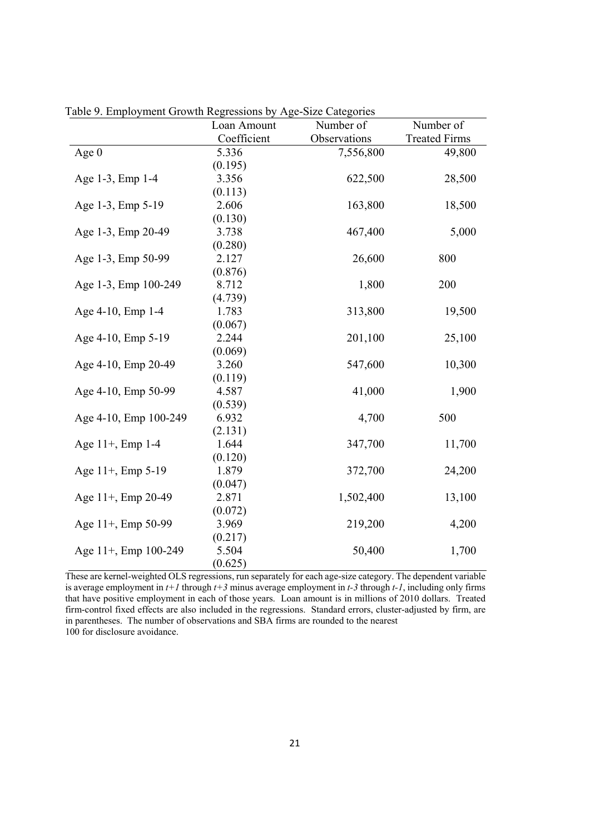|                       | Loan Amount | Number of    | Number of            |
|-----------------------|-------------|--------------|----------------------|
|                       | Coefficient | Observations | <b>Treated Firms</b> |
| Age $0$               | 5.336       | 7,556,800    | 49,800               |
|                       | (0.195)     |              |                      |
| Age 1-3, Emp 1-4      | 3.356       | 622,500      | 28,500               |
|                       | (0.113)     |              |                      |
| Age 1-3, Emp 5-19     | 2.606       | 163,800      | 18,500               |
|                       | (0.130)     |              |                      |
| Age 1-3, Emp 20-49    | 3.738       | 467,400      | 5,000                |
|                       | (0.280)     |              |                      |
| Age 1-3, Emp 50-99    | 2.127       | 26,600       | 800                  |
|                       | (0.876)     |              |                      |
| Age 1-3, Emp 100-249  | 8.712       | 1,800        | 200                  |
|                       | (4.739)     |              |                      |
| Age 4-10, Emp 1-4     | 1.783       | 313,800      | 19,500               |
|                       | (0.067)     |              |                      |
| Age 4-10, Emp 5-19    | 2.244       | 201,100      | 25,100               |
|                       | (0.069)     |              |                      |
| Age 4-10, Emp 20-49   | 3.260       | 547,600      | 10,300               |
|                       | (0.119)     |              |                      |
| Age 4-10, Emp 50-99   | 4.587       | 41,000       | 1,900                |
|                       | (0.539)     |              |                      |
| Age 4-10, Emp 100-249 | 6.932       | 4,700        | 500                  |
|                       | (2.131)     |              |                      |
| Age 11+, Emp 1-4      | 1.644       | 347,700      | 11,700               |
|                       | (0.120)     |              |                      |
| Age 11+, Emp 5-19     | 1.879       | 372,700      | 24,200               |
|                       | (0.047)     |              |                      |
| Age 11+, Emp 20-49    | 2.871       | 1,502,400    | 13,100               |
|                       | (0.072)     |              |                      |
| Age 11+, Emp 50-99    | 3.969       | 219,200      | 4,200                |
|                       | (0.217)     |              |                      |
| Age 11+, Emp 100-249  | 5.504       | 50,400       | 1,700                |
|                       | (0.625)     |              |                      |

Table 9. Employment Growth Regressions by Age-Size Categories

These are kernel-weighted OLS regressions, run separately for each age-size category. The dependent variable is average employment in *t+1* through *t+3* minus average employment in *t-3* through *t-1*, including only firms that have positive employment in each of those years. Loan amount is in millions of 2010 dollars. Treated firm-control fixed effects are also included in the regressions. Standard errors, cluster-adjusted by firm, are in parentheses. The number of observations and SBA firms are rounded to the nearest 100 for disclosure avoidance.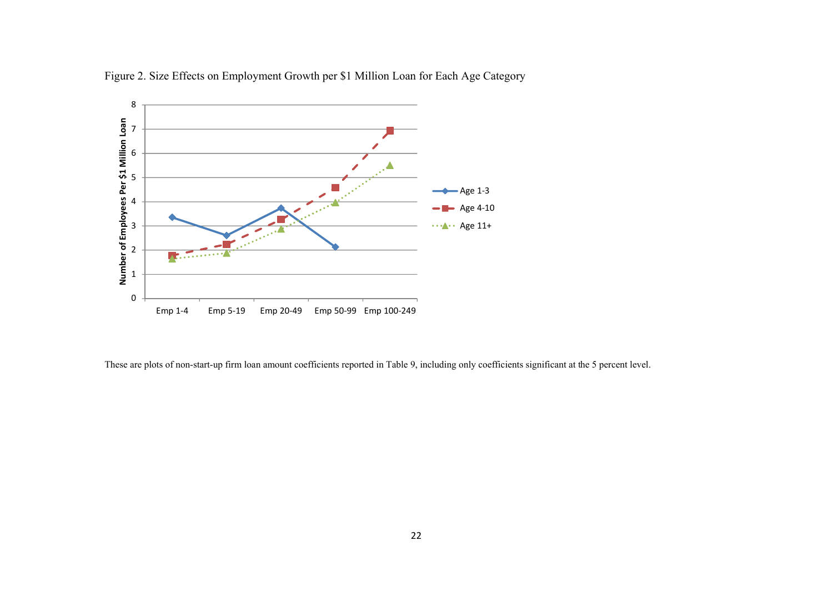

Figure 2. Size Effects on Employment Growth per \$1 Million Loan for Each Age Category

These are plots of non-start-up firm loan amount coefficients reported in Table 9, including only coefficients significant at the 5 percent level.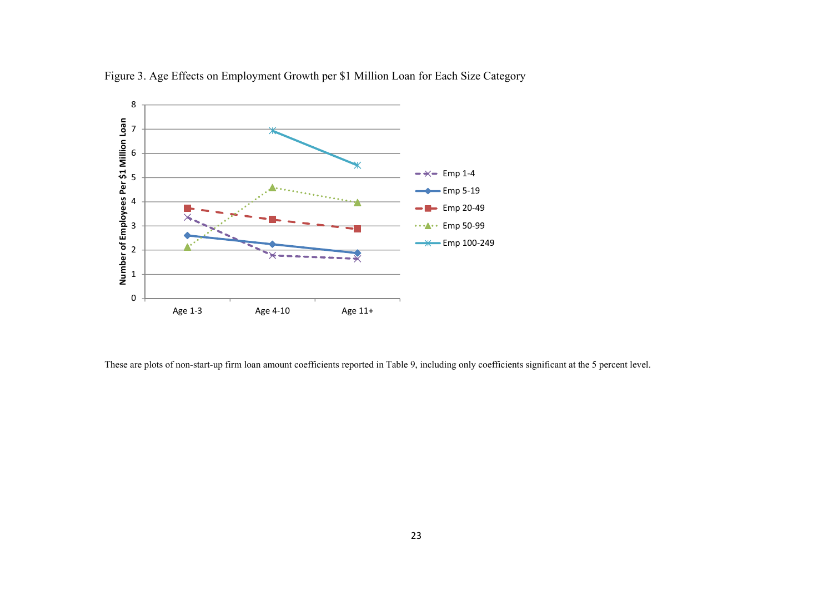

Figure 3. Age Effects on Employment Growth per \$1 Million Loan for Each Size Category

These are plots of non-start-up firm loan amount coefficients reported in Table 9, including only coefficients significant at the 5 percent level.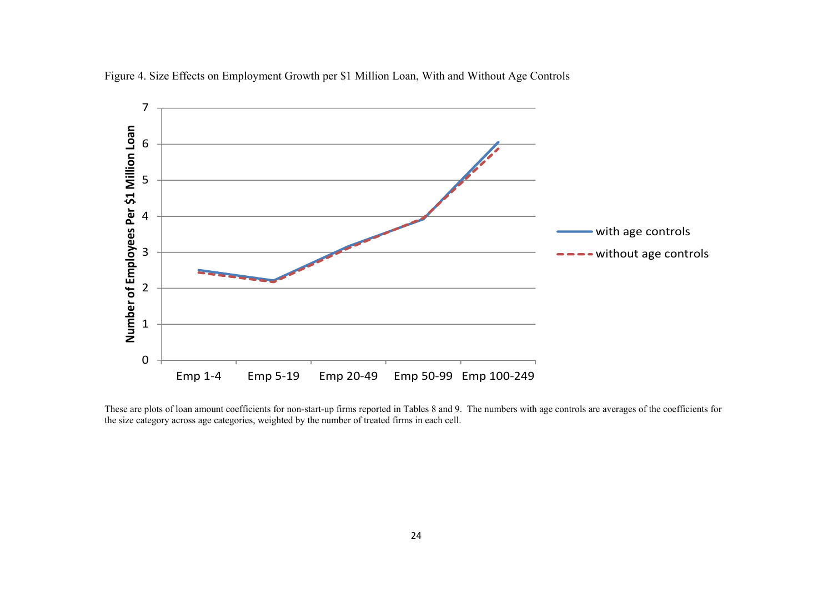

Figure 4. Size Effects on Employment Growth per \$1 Million Loan, With and Without Age Controls

These are plots of loan amount coefficients for non-start-up firms reported in Tables 8 and 9. The numbers with age controls are averages of the coefficients for the size category across age categories, weighted by the number of treated firms in each cell.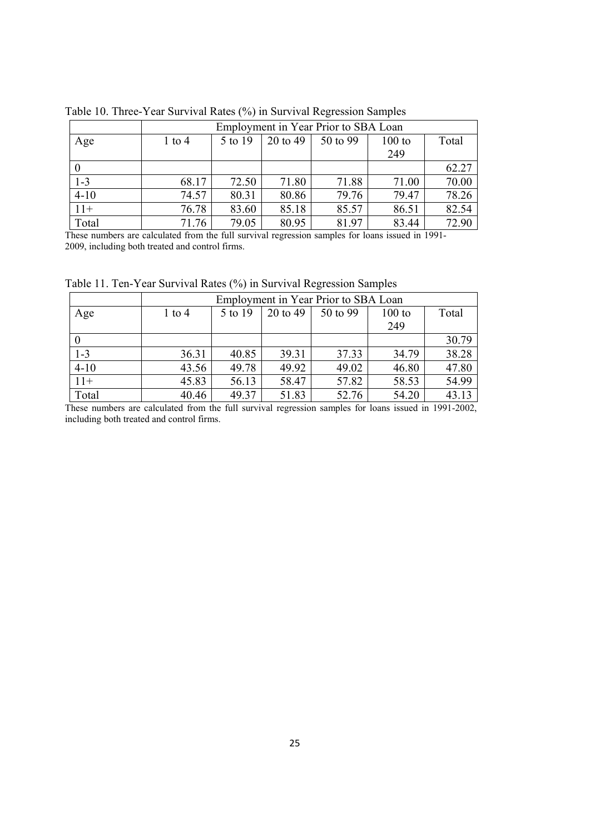|          | Employment in Year Prior to SBA Loan |         |          |          |        |       |  |
|----------|--------------------------------------|---------|----------|----------|--------|-------|--|
| Age      | $1$ to $4$                           | 5 to 19 | 20 to 49 | 50 to 99 | 100 to | Total |  |
|          |                                      |         |          |          | 249    |       |  |
|          |                                      |         |          |          |        | 62.27 |  |
| $1 - 3$  | 68.17                                | 72.50   | 71.80    | 71.88    | 71.00  | 70.00 |  |
| $4 - 10$ | 74.57                                | 80.31   | 80.86    | 79.76    | 79.47  | 78.26 |  |
| $11+$    | 76.78                                | 83.60   | 85.18    | 85.57    | 86.51  | 82.54 |  |
| Total    | 71.76                                | 79.05   | 80.95    | 81.97    | 83.44  | 72.90 |  |

Table 10. Three-Year Survival Rates (%) in Survival Regression Samples

These numbers are calculated from the full survival regression samples for loans issued in 1991- 2009, including both treated and control firms.

|          |            | Employment in Year Prior to SBA Loan |          |          |          |       |  |  |
|----------|------------|--------------------------------------|----------|----------|----------|-------|--|--|
| Age      | $1$ to $4$ | 5 to 19                              | 20 to 49 | 50 to 99 | $100$ to | Total |  |  |
|          |            |                                      |          |          | 249      |       |  |  |
|          |            |                                      |          |          |          | 30.79 |  |  |
| $1 - 3$  | 36.31      | 40.85                                | 39.31    | 37.33    | 34.79    | 38.28 |  |  |
| $4 - 10$ | 43.56      | 49.78                                | 49.92    | 49.02    | 46.80    | 47.80 |  |  |
| $11+$    | 45.83      | 56.13                                | 58.47    | 57.82    | 58.53    | 54.99 |  |  |
| Total    | 40.46      | 49.37                                | 51.83    | 52.76    | 54.20    | 43.13 |  |  |

Table 11. Ten-Year Survival Rates (%) in Survival Regression Samples

These numbers are calculated from the full survival regression samples for loans issued in 1991-2002, including both treated and control firms.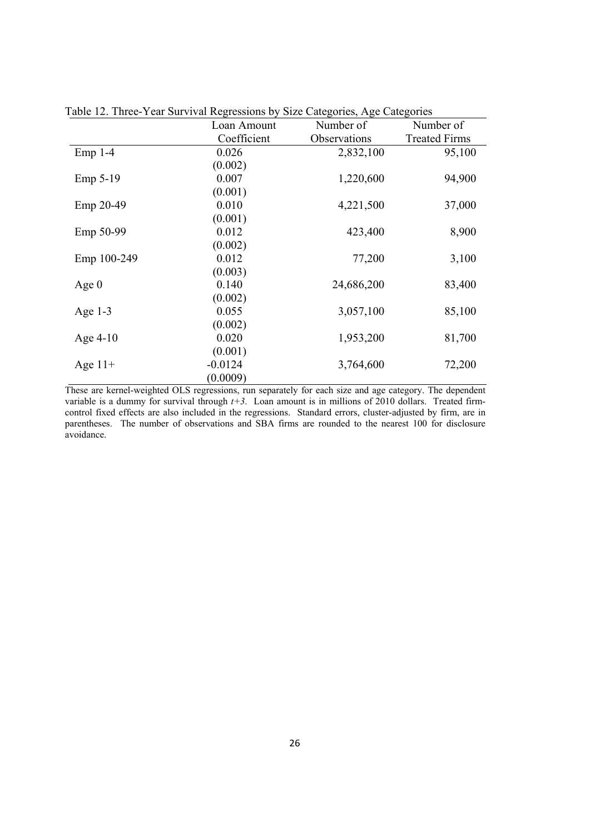|             | Loan Amount | Number of    | Number of            |
|-------------|-------------|--------------|----------------------|
|             | Coefficient | Observations | <b>Treated Firms</b> |
| $Emp 1-4$   | 0.026       | 2,832,100    | 95,100               |
|             | (0.002)     |              |                      |
| Emp 5-19    | 0.007       | 1,220,600    | 94,900               |
|             | (0.001)     |              |                      |
| Emp 20-49   | 0.010       | 4,221,500    | 37,000               |
|             | (0.001)     |              |                      |
| Emp 50-99   | 0.012       | 423,400      | 8,900                |
|             | (0.002)     |              |                      |
| Emp 100-249 | 0.012       | 77,200       | 3,100                |
|             | (0.003)     |              |                      |
| Age $0$     | 0.140       | 24,686,200   | 83,400               |
|             | (0.002)     |              |                      |
| Age $1-3$   | 0.055       | 3,057,100    | 85,100               |
|             | (0.002)     |              |                      |
| Age $4-10$  | 0.020       | 1,953,200    | 81,700               |
|             | (0.001)     |              |                      |
| Age $11+$   | $-0.0124$   | 3,764,600    | 72,200               |
|             | (0.0009)    |              |                      |

Table 12. Three-Year Survival Regressions by Size Categories, Age Categories

These are kernel-weighted OLS regressions, run separately for each size and age category. The dependent variable is a dummy for survival through  $t+3$ . Loan amount is in millions of 2010 dollars. Treated firmcontrol fixed effects are also included in the regressions. Standard errors, cluster-adjusted by firm, are in parentheses. The number of observations and SBA firms are rounded to the nearest 100 for disclosure avoidance.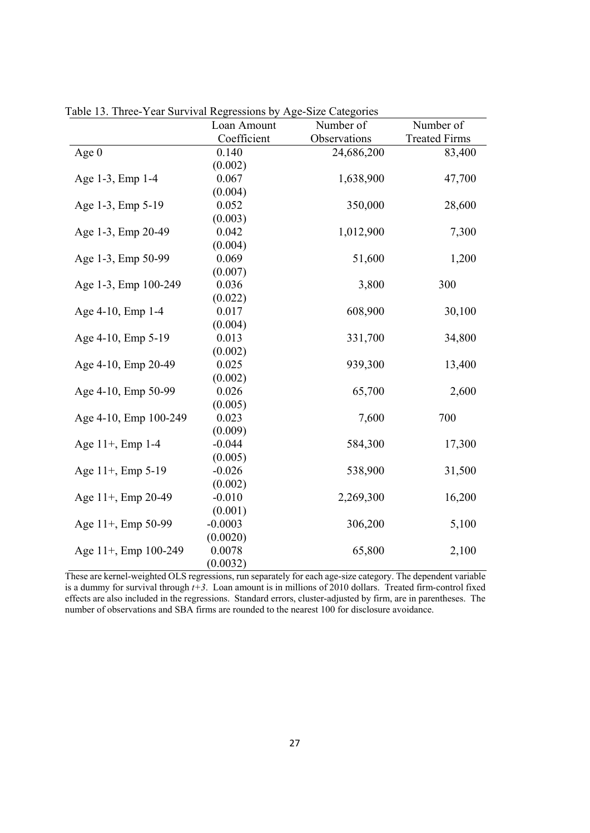| able 15. Three Tear but vival regressions by Tige blue categories | Loan Amount | Number of    | Number of            |
|-------------------------------------------------------------------|-------------|--------------|----------------------|
|                                                                   | Coefficient | Observations | <b>Treated Firms</b> |
| Age $0$                                                           | 0.140       | 24,686,200   | 83,400               |
|                                                                   | (0.002)     |              |                      |
| Age 1-3, Emp 1-4                                                  | 0.067       | 1,638,900    | 47,700               |
|                                                                   | (0.004)     |              |                      |
| Age 1-3, Emp 5-19                                                 | 0.052       | 350,000      | 28,600               |
|                                                                   | (0.003)     |              |                      |
| Age 1-3, Emp 20-49                                                | 0.042       | 1,012,900    | 7,300                |
|                                                                   | (0.004)     |              |                      |
| Age 1-3, Emp 50-99                                                | 0.069       | 51,600       | 1,200                |
|                                                                   | (0.007)     |              |                      |
| Age 1-3, Emp 100-249                                              | 0.036       | 3,800        | 300                  |
|                                                                   | (0.022)     |              |                      |
| Age 4-10, Emp 1-4                                                 | 0.017       | 608,900      | 30,100               |
|                                                                   | (0.004)     |              |                      |
| Age 4-10, Emp 5-19                                                | 0.013       | 331,700      | 34,800               |
|                                                                   | (0.002)     |              |                      |
| Age 4-10, Emp 20-49                                               | 0.025       | 939,300      | 13,400               |
|                                                                   | (0.002)     |              |                      |
| Age 4-10, Emp 50-99                                               | 0.026       | 65,700       | 2,600                |
|                                                                   | (0.005)     |              |                      |
| Age 4-10, Emp 100-249                                             | 0.023       | 7,600        | 700                  |
|                                                                   | (0.009)     |              |                      |
| Age 11+, Emp 1-4                                                  | $-0.044$    | 584,300      | 17,300               |
|                                                                   | (0.005)     |              |                      |
| Age 11+, Emp 5-19                                                 | $-0.026$    | 538,900      | 31,500               |
|                                                                   | (0.002)     |              |                      |
| Age 11+, Emp 20-49                                                | $-0.010$    | 2,269,300    | 16,200               |
|                                                                   | (0.001)     |              |                      |
| Age 11+, Emp 50-99                                                | $-0.0003$   | 306,200      | 5,100                |
|                                                                   | (0.0020)    |              |                      |
| Age 11+, Emp 100-249                                              | 0.0078      | 65,800       | 2,100                |
|                                                                   | (0.0032)    |              |                      |

Table 13. Three-Year Survival Regressions by Age-Size Categories

These are kernel-weighted OLS regressions, run separately for each age-size category. The dependent variable is a dummy for survival through *t+3*. Loan amount is in millions of 2010 dollars. Treated firm-control fixed effects are also included in the regressions. Standard errors, cluster-adjusted by firm, are in parentheses. The number of observations and SBA firms are rounded to the nearest 100 for disclosure avoidance.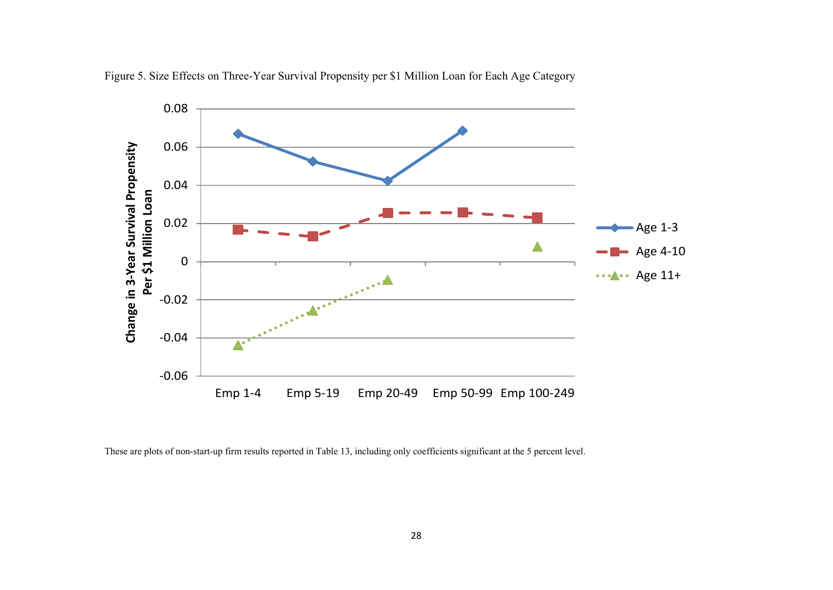

Figure 5. Size Effects on Three-Year Survival Propensity per \$1 Million Loan for Each Age Category

These are plots of non-start-up firm results reported in Table 13, including only coefficients significant at the 5 percent level.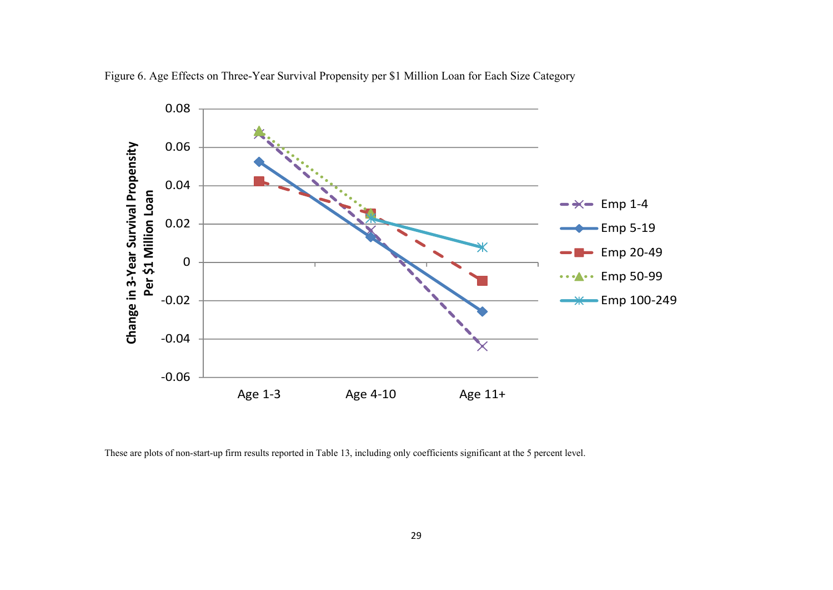

Figure 6. Age Effects on Three-Year Survival Propensity per \$1 Million Loan for Each Size Category

These are plots of non-start-up firm results reported in Table 13, including only coefficients significant at the 5 percent level.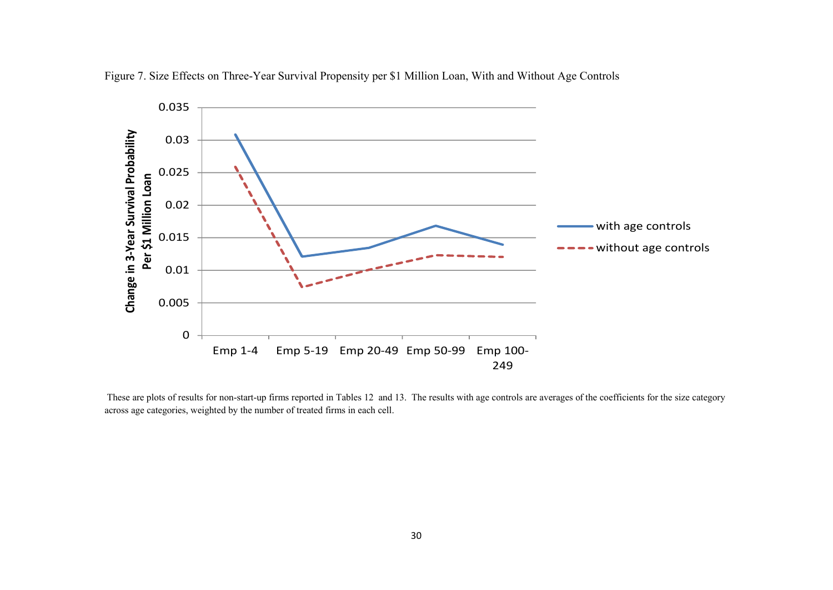

Figure 7. Size Effects on Three-Year Survival Propensity per \$1 Million Loan, With and Without Age Controls

 These are plots of results for non-start-up firms reported in Tables 12 and 13. The results with age controls are averages of the coefficients for the size category across age categories, weighted by the number of treated firms in each cell.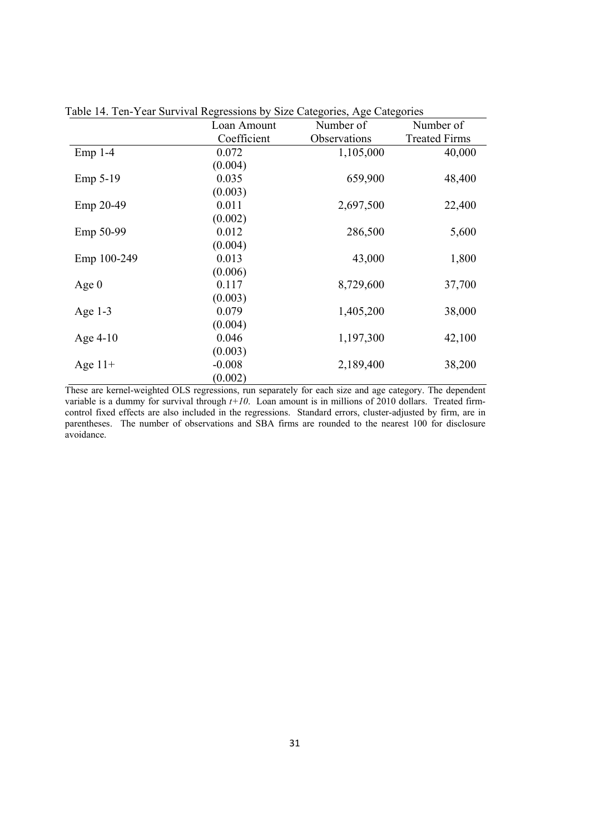|             | Loan Amount | Number of    | Number of            |
|-------------|-------------|--------------|----------------------|
|             | Coefficient | Observations | <b>Treated Firms</b> |
| $Emp 1-4$   | 0.072       | 1,105,000    | 40,000               |
|             | (0.004)     |              |                      |
| Emp 5-19    | 0.035       | 659,900      | 48,400               |
|             | (0.003)     |              |                      |
| Emp 20-49   | 0.011       | 2,697,500    | 22,400               |
|             | (0.002)     |              |                      |
| Emp 50-99   | 0.012       | 286,500      | 5,600                |
|             | (0.004)     |              |                      |
| Emp 100-249 | 0.013       | 43,000       | 1,800                |
|             | (0.006)     |              |                      |
| Age $0$     | 0.117       | 8,729,600    | 37,700               |
|             | (0.003)     |              |                      |
| Age $1-3$   | 0.079       | 1,405,200    | 38,000               |
|             | (0.004)     |              |                      |
| Age $4-10$  | 0.046       | 1,197,300    | 42,100               |
|             | (0.003)     |              |                      |
| Age $11+$   | $-0.008$    | 2,189,400    | 38,200               |
|             | (0.002)     |              |                      |

Table 14. Ten-Year Survival Regressions by Size Categories, Age Categories

These are kernel-weighted OLS regressions, run separately for each size and age category. The dependent variable is a dummy for survival through  $t+10$ . Loan amount is in millions of 2010 dollars. Treated firmcontrol fixed effects are also included in the regressions. Standard errors, cluster-adjusted by firm, are in parentheses. The number of observations and SBA firms are rounded to the nearest 100 for disclosure avoidance.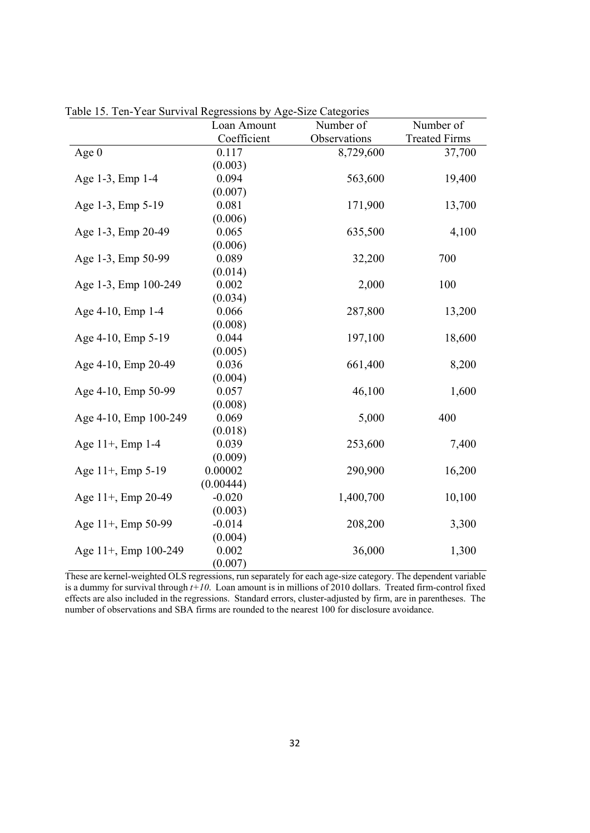|                       | Loan Amount | Number of    | Number of            |
|-----------------------|-------------|--------------|----------------------|
|                       | Coefficient | Observations | <b>Treated Firms</b> |
| Age $0$               | 0.117       | 8,729,600    | 37,700               |
|                       | (0.003)     |              |                      |
| Age 1-3, Emp 1-4      | 0.094       | 563,600      | 19,400               |
|                       | (0.007)     |              |                      |
| Age 1-3, Emp 5-19     | 0.081       | 171,900      | 13,700               |
|                       | (0.006)     |              |                      |
| Age 1-3, Emp 20-49    | 0.065       | 635,500      | 4,100                |
|                       | (0.006)     |              |                      |
| Age 1-3, Emp 50-99    | 0.089       | 32,200       | 700                  |
|                       | (0.014)     |              |                      |
| Age 1-3, Emp 100-249  | 0.002       | 2,000        | 100                  |
|                       | (0.034)     |              |                      |
| Age 4-10, Emp 1-4     | 0.066       | 287,800      | 13,200               |
|                       | (0.008)     |              |                      |
| Age 4-10, Emp 5-19    | 0.044       | 197,100      | 18,600               |
|                       | (0.005)     |              |                      |
| Age 4-10, Emp 20-49   | 0.036       | 661,400      | 8,200                |
|                       | (0.004)     |              |                      |
| Age 4-10, Emp 50-99   | 0.057       | 46,100       | 1,600                |
|                       | (0.008)     |              |                      |
| Age 4-10, Emp 100-249 | 0.069       | 5,000        | 400                  |
|                       | (0.018)     |              |                      |
| Age 11+, Emp 1-4      | 0.039       | 253,600      | 7,400                |
|                       | (0.009)     |              |                      |
| Age 11+, Emp 5-19     | 0.00002     | 290,900      | 16,200               |
|                       | (0.00444)   |              |                      |
| Age 11+, Emp 20-49    | $-0.020$    | 1,400,700    | 10,100               |
|                       | (0.003)     |              |                      |
| Age 11+, Emp 50-99    | $-0.014$    | 208,200      | 3,300                |
|                       | (0.004)     |              |                      |
| Age 11+, Emp 100-249  | 0.002       | 36,000       | 1,300                |
|                       | (0.007)     |              |                      |

Table 15. Ten-Year Survival Regressions by Age-Size Categories

These are kernel-weighted OLS regressions, run separately for each age-size category. The dependent variable is a dummy for survival through *t+10*. Loan amount is in millions of 2010 dollars. Treated firm-control fixed effects are also included in the regressions. Standard errors, cluster-adjusted by firm, are in parentheses. The number of observations and SBA firms are rounded to the nearest 100 for disclosure avoidance.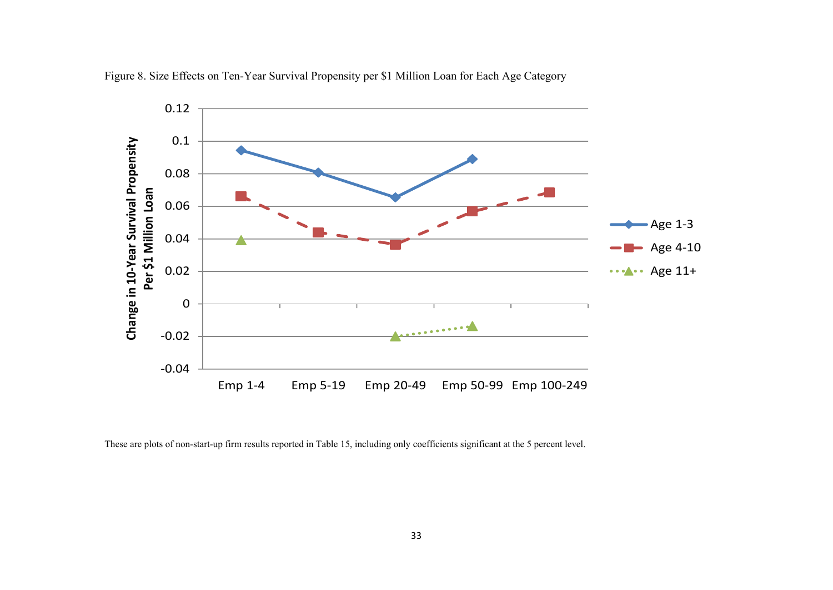

Figure 8. Size Effects on Ten-Year Survival Propensity per \$1 Million Loan for Each Age Category

These are plots of non-start-up firm results reported in Table 15, including only coefficients significant at the 5 percent level.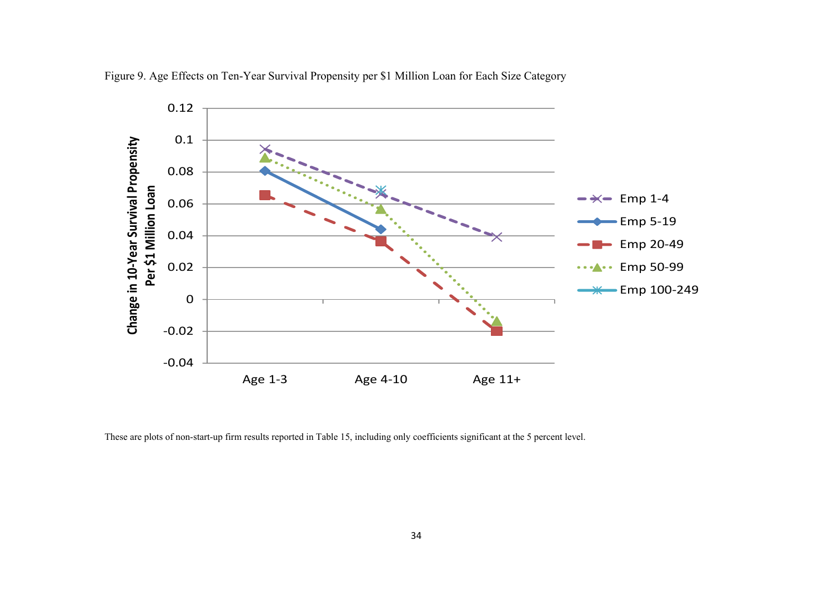

Figure 9. Age Effects on Ten-Year Survival Propensity per \$1 Million Loan for Each Size Category

These are plots of non-start-up firm results reported in Table 15, including only coefficients significant at the 5 percent level.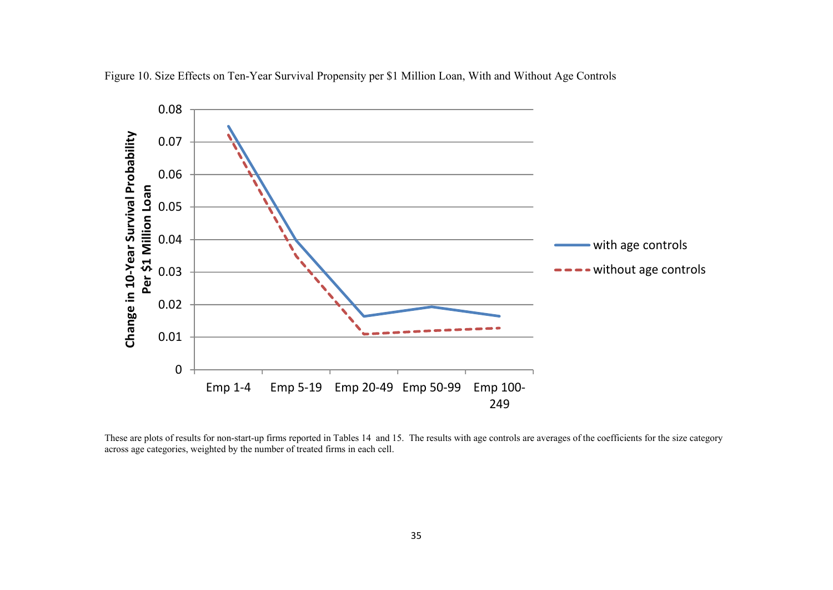

Figure 10. Size Effects on Ten-Year Survival Propensity per \$1 Million Loan, With and Without Age Controls

These are plots of results for non-start-up firms reported in Tables 14 and 15. The results with age controls are averages of the coefficients for the size category across age categories, weighted by the number of treated firms in each cell.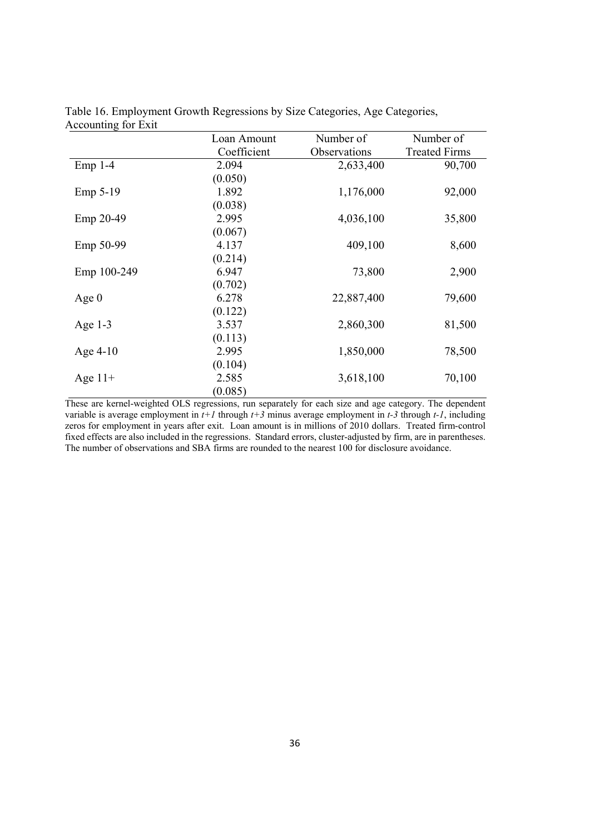|             | Loan Amount | Number of    | Number of            |
|-------------|-------------|--------------|----------------------|
|             | Coefficient | Observations | <b>Treated Firms</b> |
| $Emp 1-4$   | 2.094       | 2,633,400    | 90,700               |
|             | (0.050)     |              |                      |
| Emp 5-19    | 1.892       | 1,176,000    | 92,000               |
|             | (0.038)     |              |                      |
| Emp 20-49   | 2.995       | 4,036,100    | 35,800               |
|             | (0.067)     |              |                      |
| Emp 50-99   | 4.137       | 409,100      | 8,600                |
|             | (0.214)     |              |                      |
| Emp 100-249 | 6.947       | 73,800       | 2,900                |
|             | (0.702)     |              |                      |
| Age $0$     | 6.278       | 22,887,400   | 79,600               |
|             | (0.122)     |              |                      |
| Age $1-3$   | 3.537       | 2,860,300    | 81,500               |
|             | (0.113)     |              |                      |
| Age $4-10$  | 2.995       | 1,850,000    | 78,500               |
|             | (0.104)     |              |                      |
| Age $11+$   | 2.585       | 3,618,100    | 70,100               |
|             | (0.085)     |              |                      |

Table 16. Employment Growth Regressions by Size Categories, Age Categories, Accounting for Exit

These are kernel-weighted OLS regressions, run separately for each size and age category. The dependent variable is average employment in *t+1* through *t+3* minus average employment in *t-3* through *t-1*, including zeros for employment in years after exit. Loan amount is in millions of 2010 dollars. Treated firm-control fixed effects are also included in the regressions. Standard errors, cluster-adjusted by firm, are in parentheses. The number of observations and SBA firms are rounded to the nearest 100 for disclosure avoidance.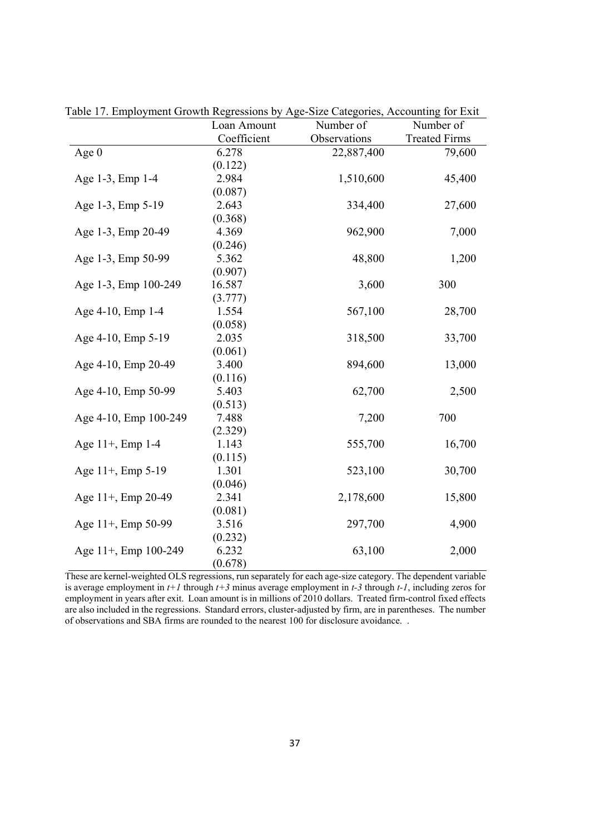|                       | Loan Amount | Number of    | Number of            |
|-----------------------|-------------|--------------|----------------------|
|                       | Coefficient | Observations | <b>Treated Firms</b> |
| Age $0$               | 6.278       | 22,887,400   | 79,600               |
|                       | (0.122)     |              |                      |
| Age 1-3, Emp 1-4      | 2.984       | 1,510,600    | 45,400               |
|                       | (0.087)     |              |                      |
| Age 1-3, Emp 5-19     | 2.643       | 334,400      | 27,600               |
|                       | (0.368)     |              |                      |
| Age 1-3, Emp 20-49    | 4.369       | 962,900      | 7,000                |
|                       | (0.246)     |              |                      |
| Age 1-3, Emp 50-99    | 5.362       | 48,800       | 1,200                |
|                       | (0.907)     |              |                      |
| Age 1-3, Emp 100-249  | 16.587      | 3,600        | 300                  |
|                       | (3.777)     |              |                      |
| Age 4-10, Emp 1-4     | 1.554       | 567,100      | 28,700               |
|                       | (0.058)     |              |                      |
| Age 4-10, Emp 5-19    | 2.035       | 318,500      | 33,700               |
|                       | (0.061)     |              |                      |
| Age 4-10, Emp 20-49   | 3.400       | 894,600      | 13,000               |
|                       | (0.116)     |              |                      |
| Age 4-10, Emp 50-99   | 5.403       | 62,700       | 2,500                |
|                       | (0.513)     |              |                      |
| Age 4-10, Emp 100-249 | 7.488       | 7,200        | 700                  |
|                       | (2.329)     |              |                      |
| Age 11+, Emp 1-4      | 1.143       | 555,700      | 16,700               |
|                       | (0.115)     |              |                      |
| Age 11+, Emp 5-19     | 1.301       | 523,100      | 30,700               |
|                       | (0.046)     |              |                      |
| Age 11+, Emp 20-49    | 2.341       | 2,178,600    | 15,800               |
|                       | (0.081)     |              |                      |
| Age 11+, Emp 50-99    | 3.516       | 297,700      | 4,900                |
|                       | (0.232)     |              |                      |
| Age 11+, Emp 100-249  | 6.232       | 63,100       | 2,000                |
|                       | (0.678)     |              |                      |

Table 17. Employment Growth Regressions by Age-Size Categories, Accounting for Exit

These are kernel-weighted OLS regressions, run separately for each age-size category. The dependent variable is average employment in *t+1* through *t+3* minus average employment in *t-3* through *t-1*, including zeros for employment in years after exit. Loan amount is in millions of 2010 dollars. Treated firm-control fixed effects are also included in the regressions. Standard errors, cluster-adjusted by firm, are in parentheses. The number of observations and SBA firms are rounded to the nearest 100 for disclosure avoidance. .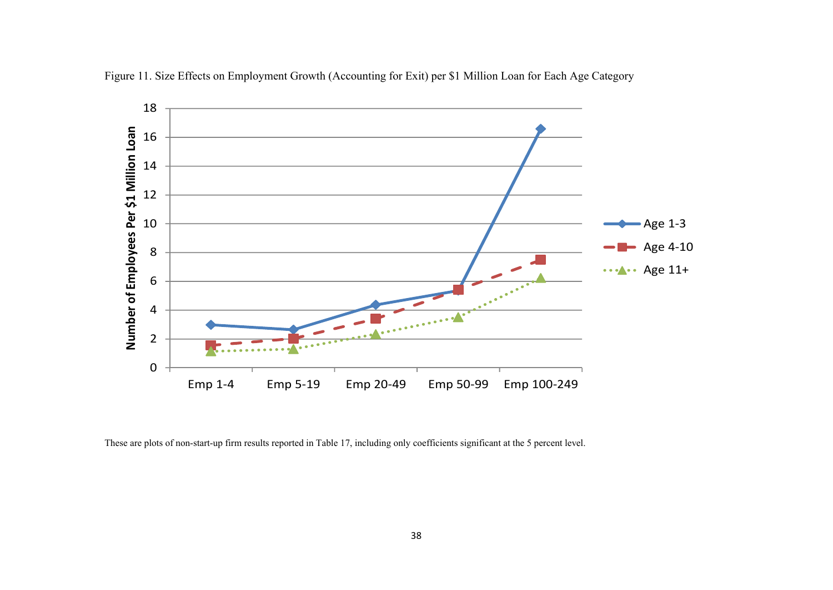

Figure 11. Size Effects on Employment Growth (Accounting for Exit) per \$1 Million Loan for Each Age Category

These are plots of non-start-up firm results reported in Table 17, including only coefficients significant at the 5 percent level.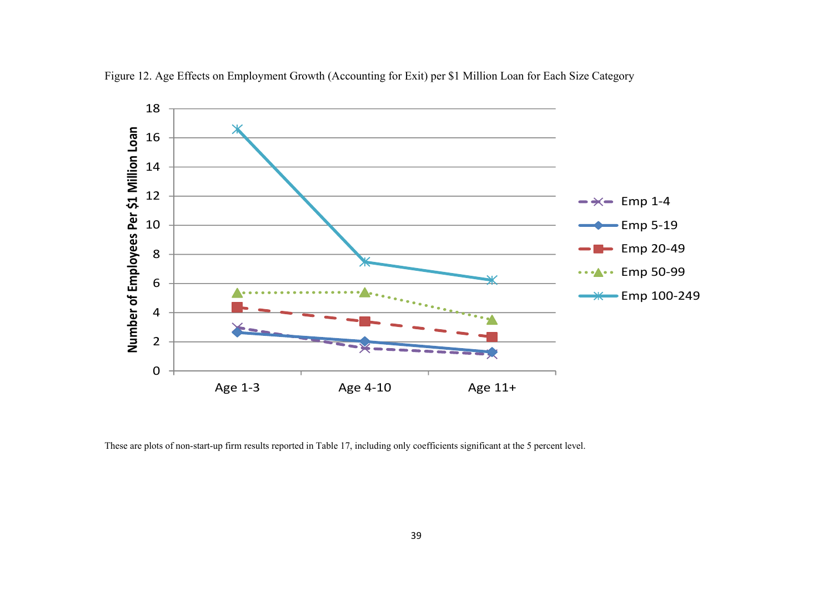

Figure 12. Age Effects on Employment Growth (Accounting for Exit) per \$1 Million Loan for Each Size Category

These are plots of non-start-up firm results reported in Table 17, including only coefficients significant at the 5 percent level.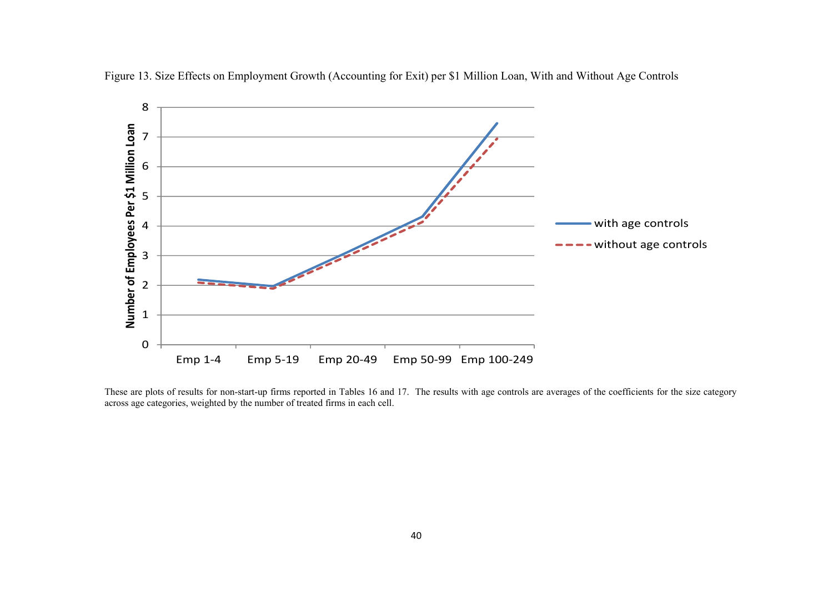



These are plots of results for non-start-up firms reported in Tables 16 and 17. The results with age controls are averages of the coefficients for the size category across age categories, weighted by the number of treated firms in each cell.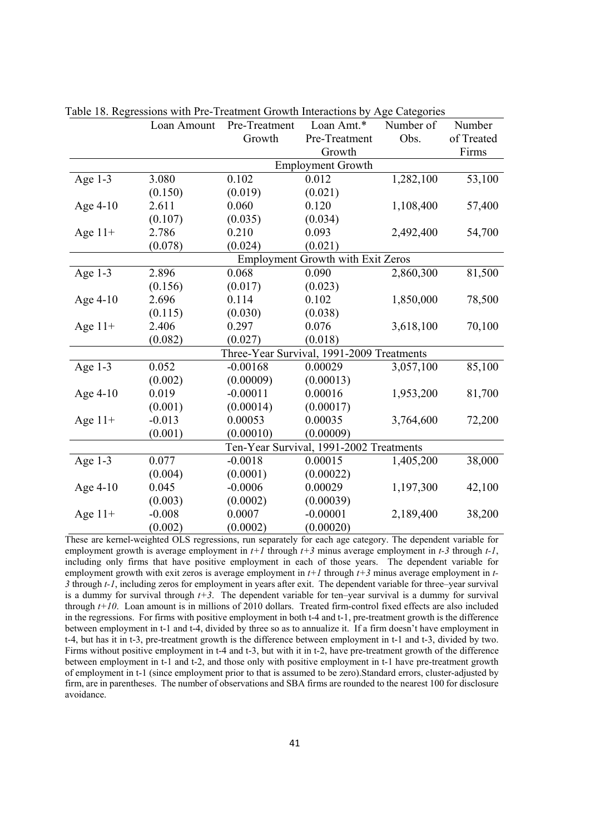|            | Loan Amount | Pre-Treatment | Loan Amt.*                                | Number of | Number     |
|------------|-------------|---------------|-------------------------------------------|-----------|------------|
|            |             | Growth        | Pre-Treatment                             | Obs.      | of Treated |
|            |             |               | Growth                                    |           | Firms      |
|            |             |               | <b>Employment Growth</b>                  |           |            |
| Age $1-3$  | 3.080       | 0.102         | 0.012                                     | 1,282,100 | 53,100     |
|            | (0.150)     | (0.019)       | (0.021)                                   |           |            |
| Age 4-10   | 2.611       | 0.060         | 0.120                                     | 1,108,400 | 57,400     |
|            | (0.107)     | (0.035)       | (0.034)                                   |           |            |
| Age $11+$  | 2.786       | 0.210         | 0.093                                     | 2,492,400 | 54,700     |
|            | (0.078)     | (0.024)       | (0.021)                                   |           |            |
|            |             |               | <b>Employment Growth with Exit Zeros</b>  |           |            |
| Age $1-3$  | 2.896       | 0.068         | 0.090                                     | 2,860,300 | 81,500     |
|            | (0.156)     | (0.017)       | (0.023)                                   |           |            |
| Age 4-10   | 2.696       | 0.114         | 0.102                                     | 1,850,000 | 78,500     |
|            | (0.115)     | (0.030)       | (0.038)                                   |           |            |
| Age $11+$  | 2.406       | 0.297         | 0.076                                     | 3,618,100 | 70,100     |
|            | (0.082)     | (0.027)       | (0.018)                                   |           |            |
|            |             |               | Three-Year Survival, 1991-2009 Treatments |           |            |
| Age $1-3$  | 0.052       | $-0.00168$    | 0.00029                                   | 3,057,100 | 85,100     |
|            | (0.002)     | (0.00009)     | (0.00013)                                 |           |            |
| Age $4-10$ | 0.019       | $-0.00011$    | 0.00016                                   | 1,953,200 | 81,700     |
|            | (0.001)     | (0.00014)     | (0.00017)                                 |           |            |
| Age $11+$  | $-0.013$    | 0.00053       | 0.00035                                   | 3,764,600 | 72,200     |
|            | (0.001)     | (0.00010)     | (0.00009)                                 |           |            |
|            |             |               | Ten-Year Survival, 1991-2002 Treatments   |           |            |
| Age $1-3$  | 0.077       | $-0.0018$     | 0.00015                                   | 1,405,200 | 38,000     |
|            | (0.004)     | (0.0001)      | (0.00022)                                 |           |            |
| Age $4-10$ | 0.045       | $-0.0006$     | 0.00029                                   | 1,197,300 | 42,100     |
|            | (0.003)     | (0.0002)      | (0.00039)                                 |           |            |
| Age $11+$  | $-0.008$    | 0.0007        | $-0.00001$                                | 2,189,400 | 38,200     |
|            | (0.002)     | (0.0002)      | (0.00020)                                 |           |            |

Table 18. Regressions with Pre-Treatment Growth Interactions by Age Categories

These are kernel-weighted OLS regressions, run separately for each age category. The dependent variable for employment growth is average employment in *t+1* through *t+3* minus average employment in *t-3* through *t-1*, including only firms that have positive employment in each of those years. The dependent variable for employment growth with exit zeros is average employment in *t+1* through *t+3* minus average employment in *t-3* through *t-1*, including zeros for employment in years after exit. The dependent variable for three–year survival is a dummy for survival through  $t+3$ . The dependent variable for ten–year survival is a dummy for survival through *t+10*. Loan amount is in millions of 2010 dollars. Treated firm-control fixed effects are also included in the regressions. For firms with positive employment in both t-4 and t-1, pre-treatment growth is the difference between employment in t-1 and t-4, divided by three so as to annualize it. If a firm doesn't have employment in t-4, but has it in t-3, pre-treatment growth is the difference between employment in t-1 and t-3, divided by two. Firms without positive employment in t-4 and t-3, but with it in t-2, have pre-treatment growth of the difference between employment in t-1 and t-2, and those only with positive employment in t-1 have pre-treatment growth of employment in t-1 (since employment prior to that is assumed to be zero).Standard errors, cluster-adjusted by firm, are in parentheses. The number of observations and SBA firms are rounded to the nearest 100 for disclosure avoidance.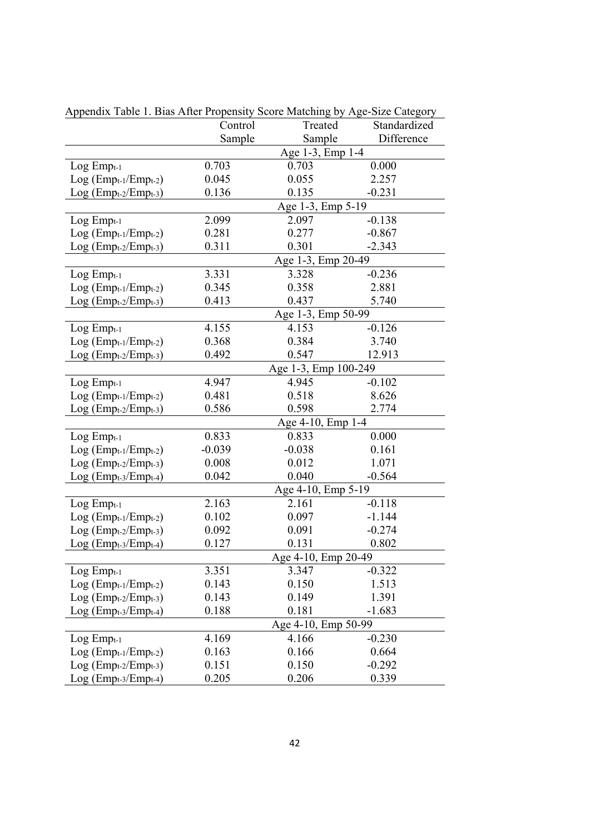| $\alpha$ repondix Table 1. Dias After Fropensity Score Matering by Tige-Size Category |                   |                      |              |  |
|---------------------------------------------------------------------------------------|-------------------|----------------------|--------------|--|
|                                                                                       | Control           | Treated              | Standardized |  |
|                                                                                       | Sample            | Sample               | Difference   |  |
|                                                                                       |                   | Age 1-3, Emp 1-4     |              |  |
| $Log Emp_{t-1}$                                                                       | 0.703             | 0.703                | 0.000        |  |
| $Log (Empt-1/Empt-2)$                                                                 | 0.045             | 0.055                | 2.257        |  |
| $Log (Empt-2/Empt-3)$                                                                 | 0.136             | 0.135                | $-0.231$     |  |
|                                                                                       |                   | Age 1-3, Emp 5-19    |              |  |
| $Log Emp_{t-1}$                                                                       | 2.099             | 2.097                | $-0.138$     |  |
| $Log (Empt-1/Empt-2)$                                                                 | 0.281             | 0.277                | $-0.867$     |  |
| Log (Empt-2/Empt-3)                                                                   | 0.311             | 0.301                | $-2.343$     |  |
|                                                                                       |                   | Age 1-3, Emp 20-49   |              |  |
| $Log Emp_{t-1}$                                                                       | 3.331             | 3.328                | $-0.236$     |  |
| $Log (Empt-1/Empt-2)$                                                                 | 0.345             | 0.358                | 2.881        |  |
| $Log (Empt-2/Empt-3)$                                                                 | 0.413             | 0.437                | 5.740        |  |
|                                                                                       |                   | Age 1-3, Emp 50-99   |              |  |
| $Log Emp_{t-1}$                                                                       | 4.155             | 4.153                | $-0.126$     |  |
| $Log (Empt-1/Empt-2)$                                                                 | 0.368             | 0.384                | 3.740        |  |
| $Log (Empt-2/Empt-3)$                                                                 | 0.492             | 0.547                | 12.913       |  |
|                                                                                       |                   | Age 1-3, Emp 100-249 |              |  |
| $Log Emp_{t-1}$                                                                       | 4.947             | 4.945                | $-0.102$     |  |
| $Log (Empt-1/Empt-2)$                                                                 | 0.481             | 0.518                | 8.626        |  |
| $Log (Empt-2/Empt-3)$                                                                 | 0.586             | 0.598                | 2.774        |  |
|                                                                                       | Age 4-10, Emp 1-4 |                      |              |  |
| $Log Emp_{t-1}$                                                                       | 0.833             | 0.833                | 0.000        |  |
| $Log (Empt-1/Empt-2)$                                                                 | $-0.039$          | $-0.038$             | 0.161        |  |
| $Log (Empt-2/Empt-3)$                                                                 | 0.008             | 0.012                | 1.071        |  |
| $Log (Empt-3/Empt-4)$                                                                 | 0.042             | 0.040                | $-0.564$     |  |
|                                                                                       |                   | Age 4-10, Emp 5-19   |              |  |
| $Log Emp_{t-1}$                                                                       | 2.163             | 2.161                | $-0.118$     |  |
| $Log (Empt-1/Empt-2)$                                                                 | 0.102             | 0.097                | $-1.144$     |  |
| $Log (Empt-2/Empt-3)$                                                                 | 0.092             | 0.091                | $-0.274$     |  |
| $Log (Empt-3/Empt-4)$                                                                 | 0.127             | 0.131                | 0.802        |  |
|                                                                                       |                   | Age 4-10, Emp 20-49  |              |  |
| $Log Emp_{t-1}$                                                                       | 3.351             | 3.347                | $-0.322$     |  |
| $Log (Empt-1/Empt-2)$                                                                 | 0.143             | 0.150                | 1.513        |  |
| $Log (Empt-2/Empt-3)$                                                                 | 0.143             | 0.149                | 1.391        |  |
| $Log (Empt-3/Empt-4)$                                                                 | 0.188             | 0.181                | $-1.683$     |  |
|                                                                                       |                   | Age 4-10, Emp 50-99  |              |  |
| $Log Emp_{t-1}$                                                                       | 4.169             | 4.166                | $-0.230$     |  |
| $Log (Empt-1/Empt-2)$                                                                 | 0.163             | 0.166                | 0.664        |  |
| $Log (Empt-2/Empt-3)$                                                                 | 0.151             | 0.150                | $-0.292$     |  |
| $Log (Empt-3/Empt-4)$                                                                 | 0.205             | 0.206                | 0.339        |  |

Appendix Table 1. Bias After Propensity Score Matching by Age-Size Category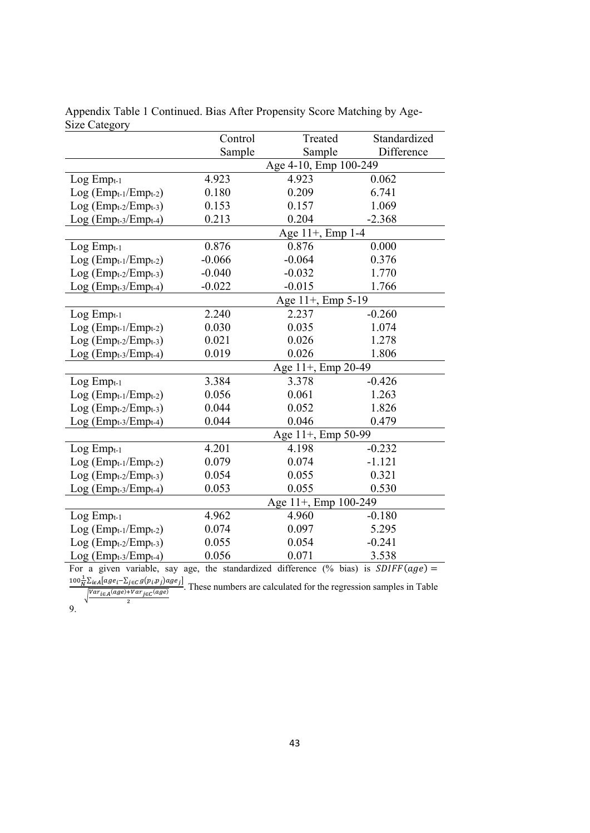|                       | Control               | Treated              | Standardized |  |
|-----------------------|-----------------------|----------------------|--------------|--|
|                       | Sample                | Sample               | Difference   |  |
|                       | Age 4-10, Emp 100-249 |                      |              |  |
| $Log Emp_{t-1}$       | 4.923                 | 4.923                | 0.062        |  |
| $Log (Empt-1/Empt-2)$ | 0.180                 | 0.209                | 6.741        |  |
| $Log (Empt-2/Empt-3)$ | 0.153                 | 0.157                | 1.069        |  |
| $Log (Empt-3/Empt-4)$ | 0.213                 | 0.204                | $-2.368$     |  |
|                       |                       | Age 11+, Emp 1-4     |              |  |
| $Log Emp_{t-1}$       | 0.876                 | 0.876                | 0.000        |  |
| $Log (Empt-1/Empt-2)$ | $-0.066$              | $-0.064$             | 0.376        |  |
| $Log (Empt-2/Empt-3)$ | $-0.040$              | $-0.032$             | 1.770        |  |
| $Log (Empt-3/Empt-4)$ | $-0.022$              | $-0.015$             | 1.766        |  |
|                       | Age 11+, Emp 5-19     |                      |              |  |
| $Log Emp_{t-1}$       | 2.240                 | 2.237                | $-0.260$     |  |
| $Log (Empt-1/Empt-2)$ | 0.030                 | 0.035                | 1.074        |  |
| $Log (Empt-2/Empt-3)$ | 0.021                 | 0.026                | 1.278        |  |
| $Log (Empt-3/Empt-4)$ | 0.019                 | 0.026                | 1.806        |  |
|                       |                       | Age 11+, Emp 20-49   |              |  |
| $Log Emp_{t-1}$       | 3.384                 | 3.378                | $-0.426$     |  |
| $Log (Empt-1/Empt-2)$ | 0.056                 | 0.061                | 1.263        |  |
| $Log (Empt-2/Empt-3)$ | 0.044                 | 0.052                | 1.826        |  |
| Log (Empt-3/Empt-4)   | 0.044                 | 0.046                | 0.479        |  |
|                       |                       | Age 11+, Emp 50-99   |              |  |
| $Log Emp_{t-1}$       | 4.201                 | 4.198                | $-0.232$     |  |
| $Log (Empt-1/Empt-2)$ | 0.079                 | 0.074                | $-1.121$     |  |
| $Log (Empt-2/Empt-3)$ | 0.054                 | 0.055                | 0.321        |  |
| $Log (Empt-3/Empt-4)$ | 0.053                 | 0.055                | 0.530        |  |
|                       |                       | Age 11+, Emp 100-249 |              |  |
| $Log Emp_{t-1}$       | 4.962                 | 4.960                | $-0.180$     |  |
| $Log (Empt-1/Empt-2)$ | 0.074                 | 0.097                | 5.295        |  |
| $Log (Empt-2/Empt-3)$ | 0.055                 | 0.054                | $-0.241$     |  |
| $Log (Empt-3/Empt-4)$ | 0.056                 | 0.071                | 3.538        |  |

Appendix Table 1 Continued. Bias After Propensity Score Matching by Age-Size Category

For a given variable, say age, the standardized difference (% bias) is  $SDIFF(age)$  $100\frac{1}{N}\sum_{i\in A}[age_i-\sum_{j\in C}g(p_i,p_j)age_j]$ 

 $\sqrt{\frac{Var_{i\in A}(age)+Var_{j\in C}(age)}{2}}$ . These numbers are calculated for the regression samples in Table

9.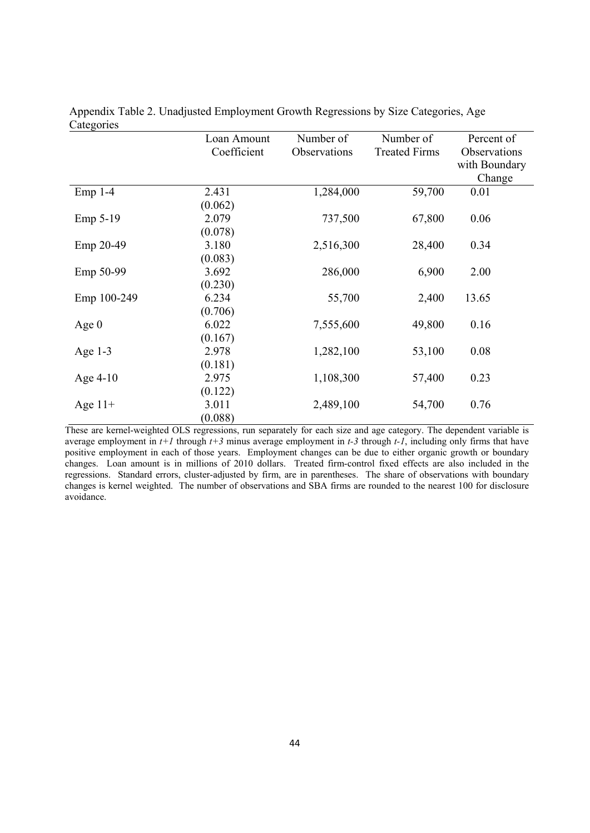| $\cdots$    | Loan Amount | Number of    | Number of            | Percent of    |
|-------------|-------------|--------------|----------------------|---------------|
|             | Coefficient | Observations | <b>Treated Firms</b> | Observations  |
|             |             |              |                      | with Boundary |
|             |             |              |                      | Change        |
| $Emp 1-4$   | 2.431       | 1,284,000    | 59,700               | 0.01          |
|             | (0.062)     |              |                      |               |
| Emp 5-19    | 2.079       | 737,500      | 67,800               | 0.06          |
|             | (0.078)     |              |                      |               |
| Emp 20-49   | 3.180       | 2,516,300    | 28,400               | 0.34          |
|             | (0.083)     |              |                      |               |
| Emp 50-99   | 3.692       | 286,000      | 6,900                | 2.00          |
|             | (0.230)     |              |                      |               |
| Emp 100-249 | 6.234       | 55,700       | 2,400                | 13.65         |
|             | (0.706)     |              |                      |               |
| Age $0$     | 6.022       | 7,555,600    | 49,800               | 0.16          |
|             | (0.167)     |              |                      |               |
| Age $1-3$   | 2.978       | 1,282,100    | 53,100               | 0.08          |
|             | (0.181)     |              |                      |               |
| Age $4-10$  | 2.975       | 1,108,300    | 57,400               | 0.23          |
|             | (0.122)     |              |                      |               |
| Age $11+$   | 3.011       | 2,489,100    | 54,700               | 0.76          |
|             | (0.088)     |              |                      |               |

Appendix Table 2. Unadjusted Employment Growth Regressions by Size Categories, Age **Categories** 

These are kernel-weighted OLS regressions, run separately for each size and age category. The dependent variable is average employment in  $t+1$  through  $t+3$  minus average employment in  $t-3$  through  $t-1$ , including only firms that have positive employment in each of those years. Employment changes can be due to either organic growth or boundary changes. Loan amount is in millions of 2010 dollars. Treated firm-control fixed effects are also included in the regressions. Standard errors, cluster-adjusted by firm, are in parentheses. The share of observations with boundary changes is kernel weighted. The number of observations and SBA firms are rounded to the nearest 100 for disclosure avoidance.